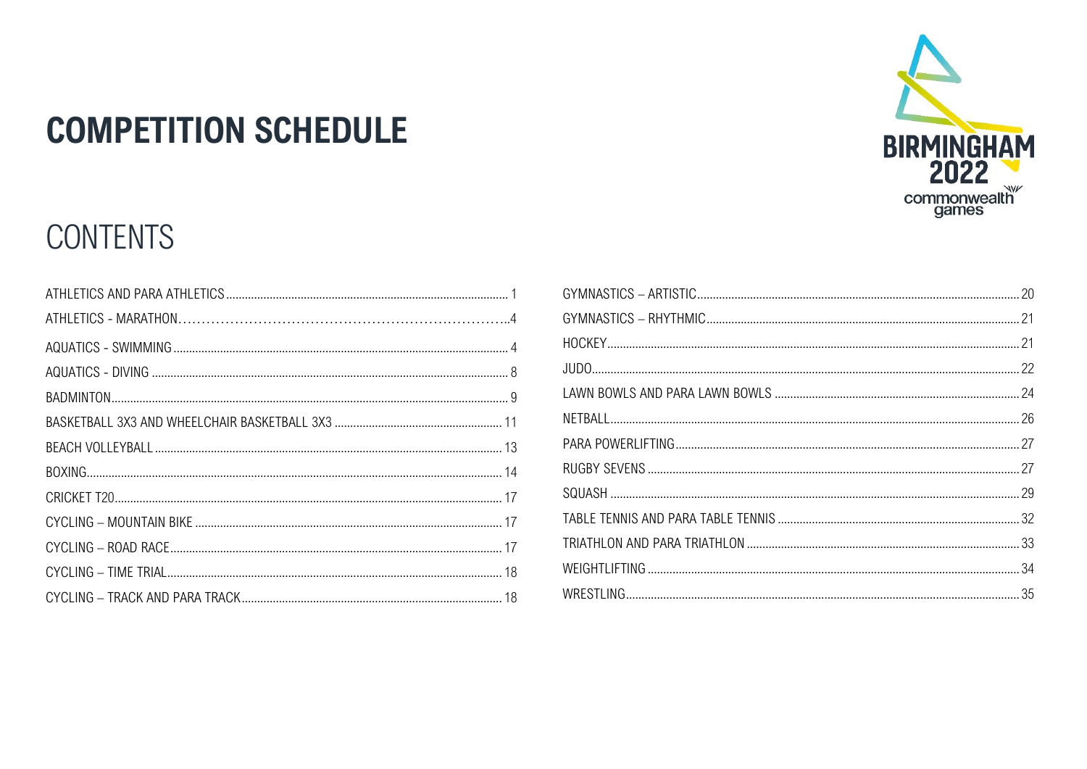# **COMPETITION SCHEDULE**

## **CONTENTS**

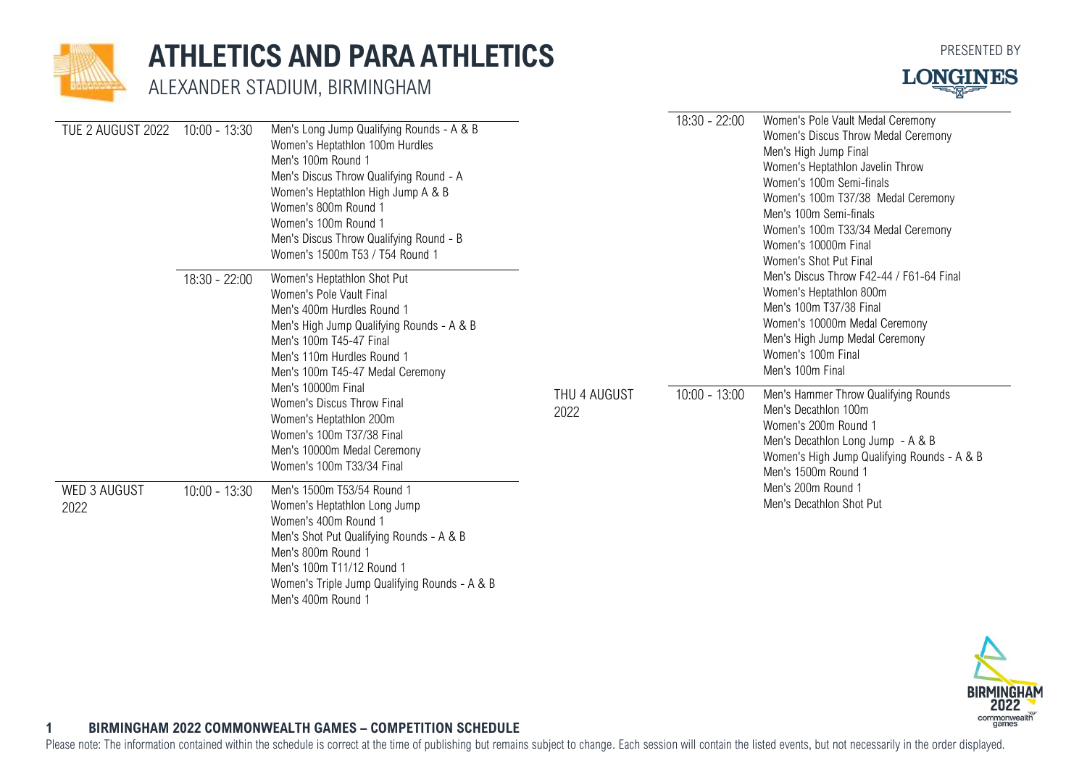

### <span id="page-1-0"></span>**ATHLETICS AND PARA ATHLETICS**

ALEXANDER STADIUM, BIRMINGHAM



| TUE 2 AUGUST 2022           | $10:00 - 13:30$                                                                                                                                                                                                                                                                                                                                                                                                            | Men's Long Jump Qualifying Rounds - A & B<br>Women's Heptathlon 100m Hurdles<br>Men's 100m Round 1<br>Men's Discus Throw Qualifying Round - A<br>Women's Heptathlon High Jump A & B<br>Women's 800m Round 1<br>Women's 100m Round 1<br>Men's Discus Throw Qualifying Round - B<br>Women's 1500m T53 / T54 Round 1 |                 | $18:30 - 22:00$                                                                                                                                                                                 | Women's Pole Vault Medal Ceremony<br>Women's Discus Throw Medal Ceremony<br>Men's High Jump Final<br>Women's Heptathlon Javelin Throw<br>Women's 100m Semi-finals<br>Women's 100m T37/38 Medal Ceremony<br>Men's 100m Semi-finals<br>Women's 100m T33/34 Medal Ceremony<br>Women's 10000m Final<br>Women's Shot Put Final |
|-----------------------------|----------------------------------------------------------------------------------------------------------------------------------------------------------------------------------------------------------------------------------------------------------------------------------------------------------------------------------------------------------------------------------------------------------------------------|-------------------------------------------------------------------------------------------------------------------------------------------------------------------------------------------------------------------------------------------------------------------------------------------------------------------|-----------------|-------------------------------------------------------------------------------------------------------------------------------------------------------------------------------------------------|---------------------------------------------------------------------------------------------------------------------------------------------------------------------------------------------------------------------------------------------------------------------------------------------------------------------------|
|                             | $18:30 - 22:00$<br>Women's Heptathlon Shot Put<br>Women's Pole Vault Final<br>Men's 400m Hurdles Round 1<br>Men's High Jump Qualifying Rounds - A & B<br>Men's 100m T45-47 Final<br>Men's 110m Hurdles Round 1<br>Men's 100m T45-47 Medal Ceremony<br>Men's 10000m Final<br>Women's Discus Throw Final<br>Women's Heptathlon 200m<br>Women's 100m T37/38 Final<br>Men's 10000m Medal Ceremony<br>Women's 100m T33/34 Final | THU 4 AUGUST<br>2022                                                                                                                                                                                                                                                                                              |                 | Women's Heptathlon 800m<br>Men's 100m T37/38 Final<br>Women's 10000m Medal Ceremony<br>Men's High Jump Medal Ceremony<br>Women's 100m Final<br>Men's 100m Final                                 |                                                                                                                                                                                                                                                                                                                           |
|                             |                                                                                                                                                                                                                                                                                                                                                                                                                            |                                                                                                                                                                                                                                                                                                                   | $10:00 - 13:00$ | Men's Hammer Throw Qualifying Rounds<br>Men's Decathlon 100m<br>Women's 200m Round 1<br>Men's Decathlon Long Jump - A & B<br>Women's High Jump Qualifying Rounds - A & B<br>Men's 1500m Round 1 |                                                                                                                                                                                                                                                                                                                           |
| <b>WED 3 AUGUST</b><br>2022 | $10:00 - 13:30$                                                                                                                                                                                                                                                                                                                                                                                                            | Men's 1500m T53/54 Round 1<br>Women's Heptathlon Long Jump<br>Women's 400m Round 1<br>Men's Shot Put Qualifying Rounds - A & B<br>Men's 800m Round 1<br>Men's 100m T11/12 Round 1<br>Women's Triple Jump Qualifying Rounds - A & B                                                                                |                 |                                                                                                                                                                                                 | Men's 200m Round 1<br>Men's Decathlon Shot Put                                                                                                                                                                                                                                                                            |

Men's 400m Round 1



### **1 BIRMINGHAM 2022 COMMONWEALTH GAMES – COMPETITION SCHEDULE**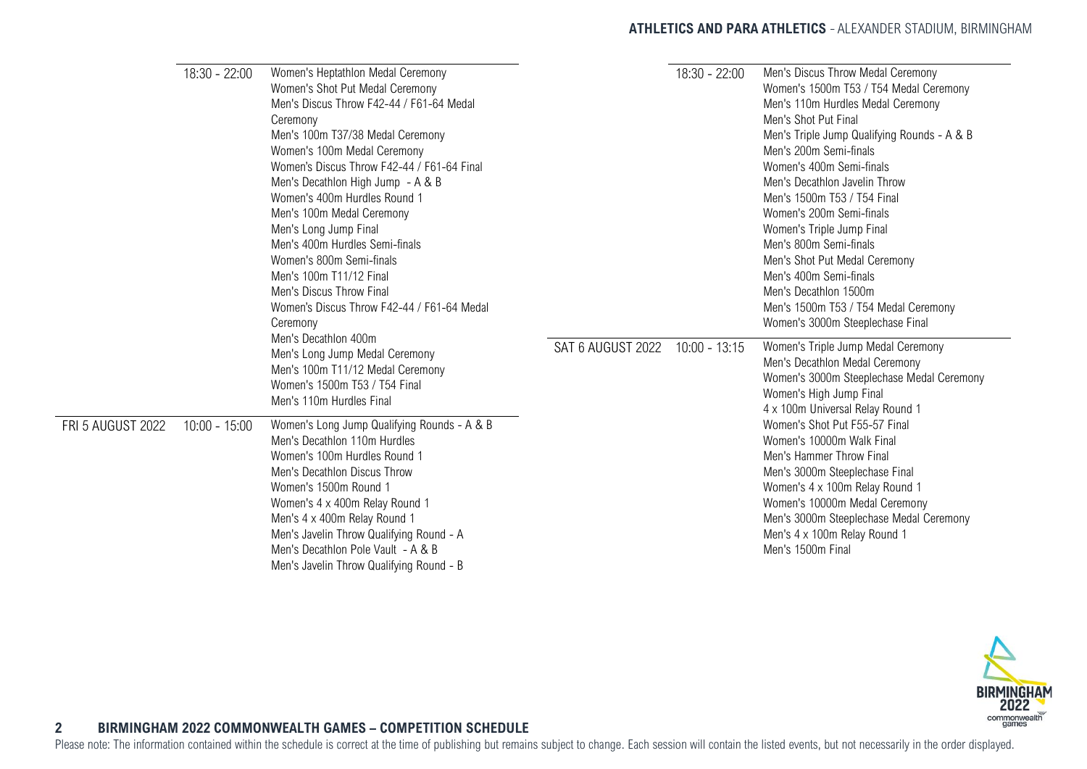### **ATHLETICS AND PARA ATHLETICS** ALEXANDER STADIUM, BIRMINGHAM

|                   | 18:30 - 22:00   | Women's Heptathlon Medal Ceremony<br>Women's Shot Put Medal Ceremony<br>Men's Discus Throw F42-44 / F61-64 Medal<br>Ceremony<br>Men's 100m T37/38 Medal Ceremony<br>Women's 100m Medal Ceremony<br>Women's Discus Throw F42-44 / F61-64 Final<br>Men's Decathlon High Jump - A & B<br>Women's 400m Hurdles Round 1<br>Men's 100m Medal Ceremony<br>Men's Long Jump Final<br>Men's 400m Hurdles Semi-finals<br>Women's 800m Semi-finals<br>Men's 100m T11/12 Final |                   | 18:30 - 22:00   | Men's Discus Throw Medal Ceremony<br>Women's 1500m T53 / T54 Medal Ceremony<br>Men's 110m Hurdles Medal Ceremony<br>Men's Shot Put Final<br>Men's Triple Jump Qualifying Rounds - A & B<br>Men's 200m Semi-finals<br>Women's 400m Semi-finals<br>Men's Decathlon Javelin Throw<br>Men's 1500m T53 / T54 Final<br>Women's 200m Semi-finals<br>Women's Triple Jump Final<br>Men's 800m Semi-finals<br>Men's Shot Put Medal Ceremony<br>Men's 400m Semi-finals |
|-------------------|-----------------|-------------------------------------------------------------------------------------------------------------------------------------------------------------------------------------------------------------------------------------------------------------------------------------------------------------------------------------------------------------------------------------------------------------------------------------------------------------------|-------------------|-----------------|-------------------------------------------------------------------------------------------------------------------------------------------------------------------------------------------------------------------------------------------------------------------------------------------------------------------------------------------------------------------------------------------------------------------------------------------------------------|
|                   |                 | Men's Discus Throw Final<br>Women's Discus Throw F42-44 / F61-64 Medal<br>Ceremony<br>Men's Decathlon 400m                                                                                                                                                                                                                                                                                                                                                        |                   |                 | Men's Decathlon 1500m<br>Men's 1500m T53 / T54 Medal Ceremony<br>Women's 3000m Steeplechase Final                                                                                                                                                                                                                                                                                                                                                           |
|                   |                 | Men's Long Jump Medal Ceremony<br>Men's 100m T11/12 Medal Ceremony<br>Women's 1500m T53 / T54 Final<br>Men's 110m Hurdles Final                                                                                                                                                                                                                                                                                                                                   | SAT 6 AUGUST 2022 | $10:00 - 13:15$ | Women's Triple Jump Medal Ceremony<br>Men's Decathlon Medal Ceremony<br>Women's 3000m Steeplechase Medal Ceremony<br>Women's High Jump Final<br>4 x 100m Universal Relay Round 1                                                                                                                                                                                                                                                                            |
| FRI 5 AUGUST 2022 | $10:00 - 15:00$ | Women's Long Jump Qualifying Rounds - A & B<br>Men's Decathlon 110m Hurdles<br>Women's 100m Hurdles Round 1<br>Men's Decathlon Discus Throw<br>Women's 1500m Round 1<br>Women's 4 x 400m Relay Round 1<br>Men's 4 x 400m Relay Round 1<br>Men's Javelin Throw Qualifying Round - A<br>Men's Decathlon Pole Vault - A & B<br>Men's Javelin Throw Qualifying Round - B                                                                                              |                   |                 | Women's Shot Put F55-57 Final<br>Women's 10000m Walk Final<br>Men's Hammer Throw Final<br>Men's 3000m Steeplechase Final<br>Women's 4 x 100m Relay Round 1<br>Women's 10000m Medal Ceremony<br>Men's 3000m Steeplechase Medal Ceremony<br>Men's 4 x 100m Relay Round 1<br>Men's 1500m Final                                                                                                                                                                 |



### **2 BIRMINGHAM 2022 COMMONWEALTH GAMES – COMPETITION SCHEDULE**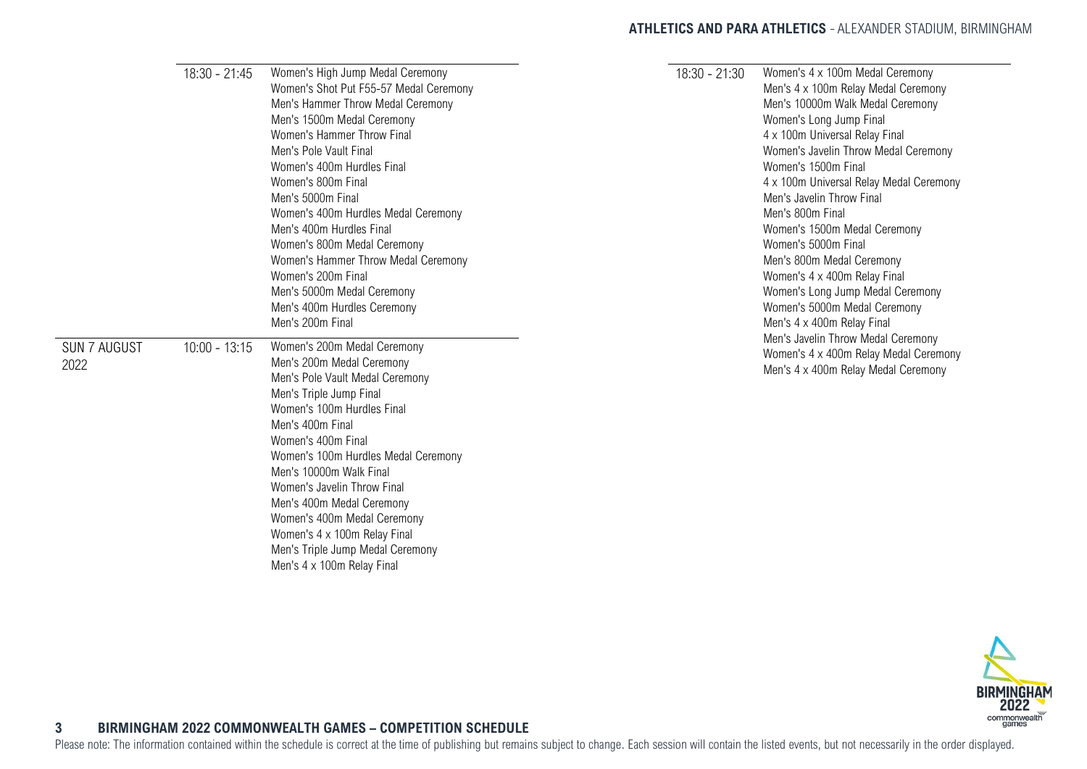### **ATHLETICS AND PARA ATHLETICS** - ALEXANDER STADIUM, BIRMINGHAM

|                     | $18:30 - 21:45$ | Women's High Jump Medal Ceremony       | 18:30 - 21:30 | Women's 4 x 100m Medal Ceremony         |
|---------------------|-----------------|----------------------------------------|---------------|-----------------------------------------|
|                     |                 | Women's Shot Put F55-57 Medal Ceremony |               | Men's 4 x 100m Relay Medal Ceremony     |
|                     |                 | Men's Hammer Throw Medal Ceremony      |               | Men's 10000m Walk Medal Ceremony        |
|                     |                 | Men's 1500m Medal Ceremony             |               | Women's Long Jump Final                 |
|                     |                 | Women's Hammer Throw Final             |               | 4 x 100m Universal Relay Final          |
|                     |                 | Men's Pole Vault Final                 |               | Women's Javelin Throw Medal Ceremony    |
|                     |                 | Women's 400m Hurdles Final             |               | Women's 1500m Final                     |
|                     |                 | Women's 800m Final                     |               | 4 x 100m Universal Relay Medal Ceremony |
|                     |                 | Men's 5000m Final                      |               | Men's Javelin Throw Final               |
|                     |                 | Women's 400m Hurdles Medal Ceremony    |               | Men's 800m Final                        |
|                     |                 | Men's 400m Hurdles Final               |               | Women's 1500m Medal Ceremony            |
|                     |                 | Women's 800m Medal Ceremony            |               | Women's 5000m Final                     |
|                     |                 | Women's Hammer Throw Medal Ceremony    |               | Men's 800m Medal Ceremony               |
|                     |                 | Women's 200m Final                     |               | Women's 4 x 400m Relay Final            |
|                     |                 | Men's 5000m Medal Ceremony             |               | Women's Long Jump Medal Ceremony        |
|                     |                 | Men's 400m Hurdles Ceremony            |               | Women's 5000m Medal Ceremony            |
|                     |                 | Men's 200m Final                       |               | Men's 4 x 400m Relay Final              |
|                     |                 |                                        |               | Men's Javelin Throw Medal Ceremony      |
| <b>SUN 7 AUGUST</b> | $10:00 - 13:15$ | Women's 200m Medal Ceremony            |               | Women's 4 x 400m Relay Medal Ceremony   |
| 2022                |                 | Men's 200m Medal Ceremony              |               | Men's 4 x 400m Relay Medal Ceremony     |
|                     |                 | Men's Pole Vault Medal Ceremony        |               |                                         |
|                     |                 | Men's Triple Jump Final                |               |                                         |
|                     |                 | Women's 100m Hurdles Final             |               |                                         |
|                     |                 | Men's 400m Final                       |               |                                         |
|                     |                 | Women's 400m Final                     |               |                                         |
|                     |                 | Women's 100m Hurdles Medal Ceremony    |               |                                         |
|                     |                 | Men's 10000m Walk Final                |               |                                         |
|                     |                 | Women's Javelin Throw Final            |               |                                         |
|                     |                 | Men's 400m Medal Ceremony              |               |                                         |
|                     |                 | Women's 400m Medal Ceremony            |               |                                         |
|                     |                 | Women's 4 x 100m Relay Final           |               |                                         |
|                     |                 | Men's Triple Jump Medal Ceremony       |               |                                         |
|                     |                 | Men's 4 x 100m Relay Final             |               |                                         |



### <span id="page-3-0"></span>**3 BIRMINGHAM 2022 COMMONWEALTH GAMES – COMPETITION SCHEDULE**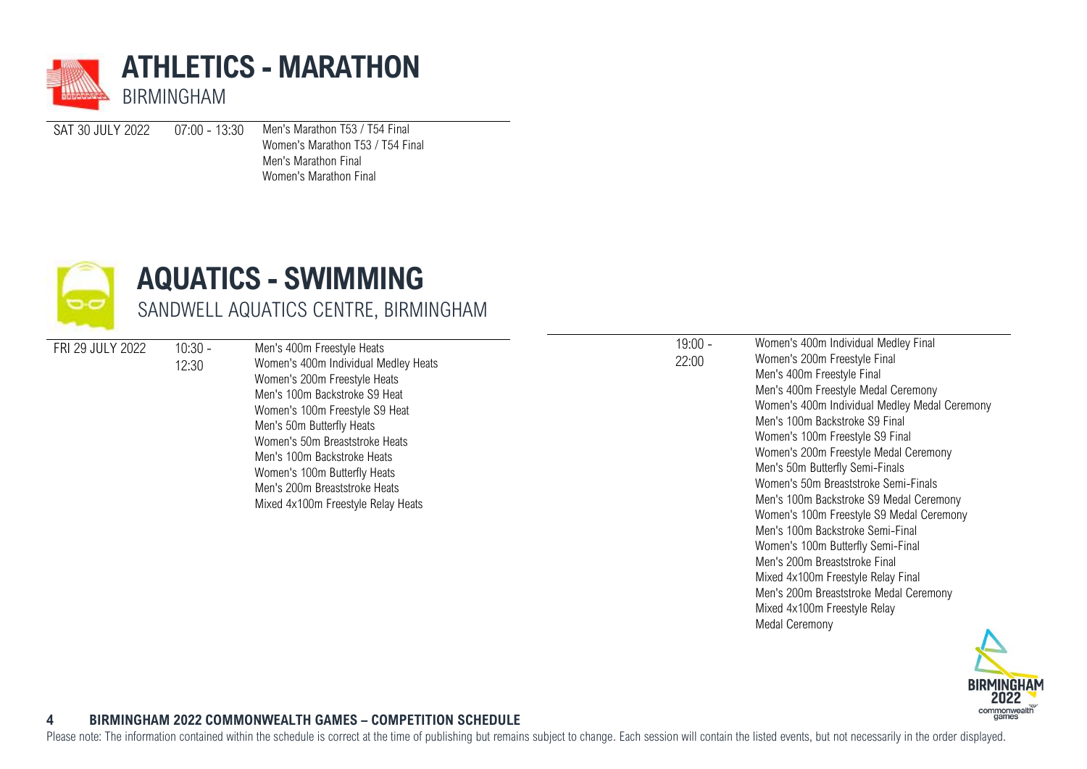

SAT 30 JULY 2022 07:00 - 13:30 Men's Marathon T53 / T54 Final

Women's Marathon T53 / T54 Final Men's Marathon Final Women's Marathon Final



### **AQUATICS - SWIMMING** SANDWELL AQUATICS CENTRE, BIRMINGHAM

FRI 29 JULY 2022 10:30 -

12:30

Men's 400m Freestyle Heats Women's 400m Individual Medley Heats Women's 200m Freestyle Heats Men's 100m Backstroke S9 Heat Women's 100m Freestyle S9 Heat Men's 50m Butterfly Heats Women's 50m Breaststroke Heats Men's 100m Backstroke Heats Women's 100m Butterfly Heats Men's 200m Breaststroke Heats Mixed 4x100m Freestyle Relay Heats

 $19:00 -$ 22:00

Women's 400m Individual Medley Final Women's 200m Freestyle Final Men's 400m Freestyle Final Men's 400m Freestyle Medal Ceremony Women's 400m Individual Medley Medal Ceremony Men's 100m Backstroke S9 Final Women's 100m Freestyle S9 Final Women's 200m Freestyle Medal Ceremony Men's 50m Butterfly Semi-Finals Women's 50m Breaststroke Semi-Finals Men's 100m Backstroke S9 Medal Ceremony Women's 100m Freestyle S9 Medal Ceremony Men's 100m Backstroke Semi-Final Women's 100m Butterfly Semi-Final Men's 200m Breaststroke Final Mixed 4x100m Freestyle Relay Final Men's 200m Breaststroke Medal Ceremony Mixed 4x100m Freestyle Relay Medal Ceremony



### **4 BIRMINGHAM 2022 COMMONWEALTH GAMES – COMPETITION SCHEDULE**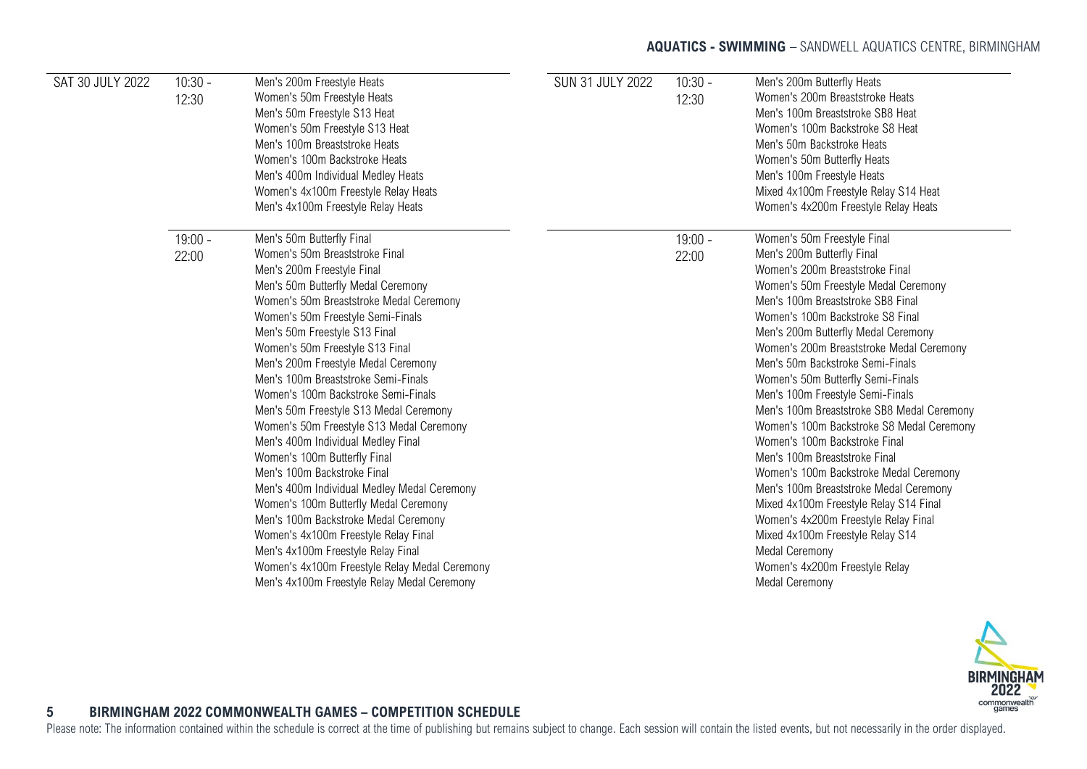### **AQUATICS - SWIMMING** - SANDWELL AQUATICS CENTRE, BIRMINGHAM

| SAT 30 JULY 2022 | $10:30 -$<br>12:30 | Men's 200m Freestyle Heats<br>Women's 50m Freestyle Heats<br>Men's 50m Freestyle S13 Heat<br>Women's 50m Freestyle S13 Heat<br>Men's 100m Breaststroke Heats<br>Women's 100m Backstroke Heats<br>Men's 400m Individual Medley Heats<br>Women's 4x100m Freestyle Relay Heats<br>Men's 4x100m Freestyle Relay Heats                                                                                                                                                                                                                                                                                                                                                                                                                                                                                                                                                                                                 | <b>SUN 31 JULY 2022</b> | $10:30 -$<br>12:30 | Men's 200m Butterfly Heats<br>Women's 200m Breaststroke Heats<br>Men's 100m Breaststroke SB8 Heat<br>Women's 100m Backstroke S8 Heat<br>Men's 50m Backstroke Heats<br>Women's 50m Butterfly Heats<br>Men's 100m Freestyle Heats<br>Mixed 4x100m Freestyle Relay S14 Heat<br>Women's 4x200m Freestyle Relay Heats                                                                                                                                                                                                                                                                                                                                                                                                                                                                                                                                                  |
|------------------|--------------------|-------------------------------------------------------------------------------------------------------------------------------------------------------------------------------------------------------------------------------------------------------------------------------------------------------------------------------------------------------------------------------------------------------------------------------------------------------------------------------------------------------------------------------------------------------------------------------------------------------------------------------------------------------------------------------------------------------------------------------------------------------------------------------------------------------------------------------------------------------------------------------------------------------------------|-------------------------|--------------------|-------------------------------------------------------------------------------------------------------------------------------------------------------------------------------------------------------------------------------------------------------------------------------------------------------------------------------------------------------------------------------------------------------------------------------------------------------------------------------------------------------------------------------------------------------------------------------------------------------------------------------------------------------------------------------------------------------------------------------------------------------------------------------------------------------------------------------------------------------------------|
|                  | $19:00 -$<br>22:00 | Men's 50m Butterfly Final<br>Women's 50m Breaststroke Final<br>Men's 200m Freestyle Final<br>Men's 50m Butterfly Medal Ceremony<br>Women's 50m Breaststroke Medal Ceremony<br>Women's 50m Freestyle Semi-Finals<br>Men's 50m Freestyle S13 Final<br>Women's 50m Freestyle S13 Final<br>Men's 200m Freestyle Medal Ceremony<br>Men's 100m Breaststroke Semi-Finals<br>Women's 100m Backstroke Semi-Finals<br>Men's 50m Freestyle S13 Medal Ceremony<br>Women's 50m Freestyle S13 Medal Ceremony<br>Men's 400m Individual Medley Final<br>Women's 100m Butterfly Final<br>Men's 100m Backstroke Final<br>Men's 400m Individual Medley Medal Ceremony<br>Women's 100m Butterfly Medal Ceremony<br>Men's 100m Backstroke Medal Ceremony<br>Women's 4x100m Freestyle Relay Final<br>Men's 4x100m Freestyle Relay Final<br>Women's 4x100m Freestyle Relay Medal Ceremony<br>Men's 4x100m Freestyle Relay Medal Ceremony |                         | $19:00 -$<br>22:00 | Women's 50m Freestyle Final<br>Men's 200m Butterfly Final<br>Women's 200m Breaststroke Final<br>Women's 50m Freestyle Medal Ceremony<br>Men's 100m Breaststroke SB8 Final<br>Women's 100m Backstroke S8 Final<br>Men's 200m Butterfly Medal Ceremony<br>Women's 200m Breaststroke Medal Ceremony<br>Men's 50m Backstroke Semi-Finals<br>Women's 50m Butterfly Semi-Finals<br>Men's 100m Freestyle Semi-Finals<br>Men's 100m Breaststroke SB8 Medal Ceremony<br>Women's 100m Backstroke S8 Medal Ceremony<br>Women's 100m Backstroke Final<br>Men's 100m Breaststroke Final<br>Women's 100m Backstroke Medal Ceremony<br>Men's 100m Breaststroke Medal Ceremony<br>Mixed 4x100m Freestyle Relay S14 Final<br>Women's 4x200m Freestyle Relay Final<br>Mixed 4x100m Freestyle Relay S14<br>Medal Ceremony<br>Women's 4x200m Freestyle Relay<br><b>Medal Ceremony</b> |



### **5 BIRMINGHAM 2022 COMMONWEALTH GAMES – COMPETITION SCHEDULE**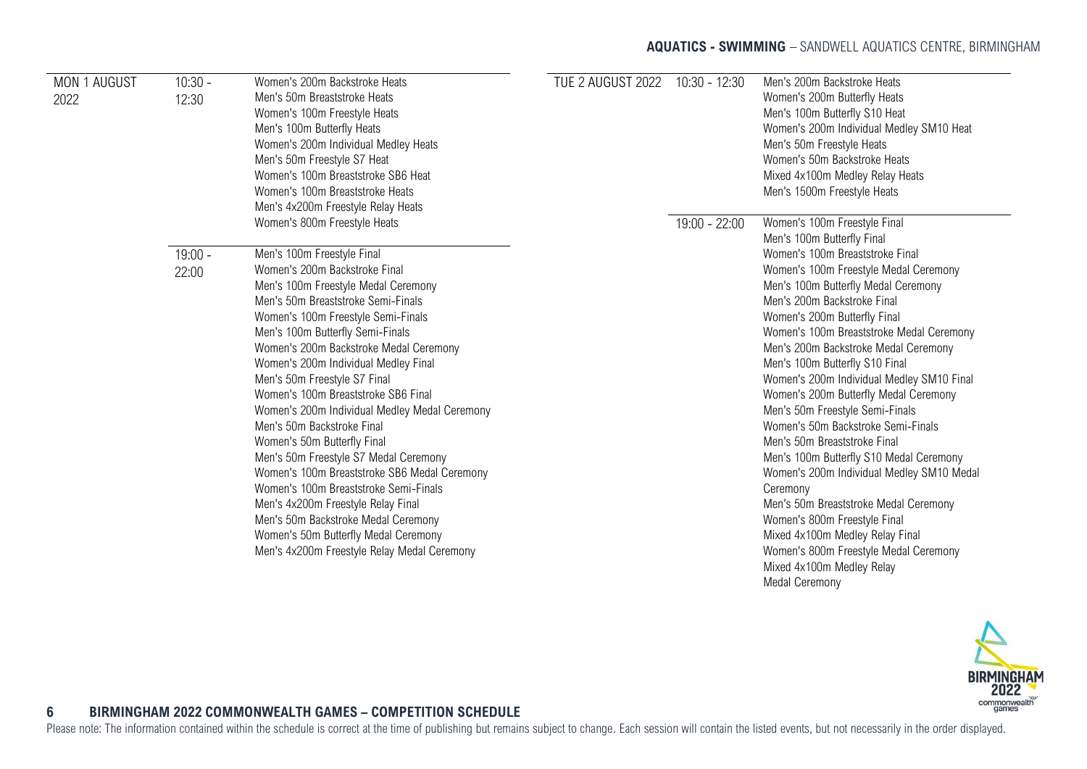### **AQUATICS - SWIMMING** - SANDWELL AQUATICS CENTRE, BIRMINGHAM

| MON 1 AUGUST<br>2022 | $10:30 -$<br>12:30 | Women's 200m Backstroke Heats<br>Men's 50m Breaststroke Heats<br>Women's 100m Freestyle Heats<br>Men's 100m Butterfly Heats<br>Women's 200m Individual Medley Heats<br>Men's 50m Freestyle S7 Heat<br>Women's 100m Breaststroke SB6 Heat                                                                                                                                                                                                                                                                                                                                                                                                                                                                                                                                                        | TUE 2 AUGUST 2022 | 10:30 - 12:30   | Men's 200m Backstroke Heats<br>Women's 200m Butterfly Heats<br>Men's 100m Butterfly S10 Heat<br>Women's 200m Individual Medley SM10 Heat<br>Men's 50m Freestyle Heats<br>Women's 50m Backstroke Heats<br>Mixed 4x100m Medley Relay Heats                                                                                                                                                                                                                                                                                                                                                                                                                                                                                                                                                                                                         |
|----------------------|--------------------|-------------------------------------------------------------------------------------------------------------------------------------------------------------------------------------------------------------------------------------------------------------------------------------------------------------------------------------------------------------------------------------------------------------------------------------------------------------------------------------------------------------------------------------------------------------------------------------------------------------------------------------------------------------------------------------------------------------------------------------------------------------------------------------------------|-------------------|-----------------|--------------------------------------------------------------------------------------------------------------------------------------------------------------------------------------------------------------------------------------------------------------------------------------------------------------------------------------------------------------------------------------------------------------------------------------------------------------------------------------------------------------------------------------------------------------------------------------------------------------------------------------------------------------------------------------------------------------------------------------------------------------------------------------------------------------------------------------------------|
|                      |                    | Women's 100m Breaststroke Heats<br>Men's 4x200m Freestyle Relay Heats<br>Women's 800m Freestyle Heats                                                                                                                                                                                                                                                                                                                                                                                                                                                                                                                                                                                                                                                                                           |                   | $19:00 - 22:00$ | Men's 1500m Freestyle Heats<br>Women's 100m Freestyle Final                                                                                                                                                                                                                                                                                                                                                                                                                                                                                                                                                                                                                                                                                                                                                                                      |
| 22:00                | $19:00 -$          | Men's 100m Freestyle Final<br>Women's 200m Backstroke Final<br>Men's 100m Freestyle Medal Ceremony<br>Men's 50m Breaststroke Semi-Finals<br>Women's 100m Freestyle Semi-Finals<br>Men's 100m Butterfly Semi-Finals<br>Women's 200m Backstroke Medal Ceremony<br>Women's 200m Individual Medley Final<br>Men's 50m Freestyle S7 Final<br>Women's 100m Breaststroke SB6 Final<br>Women's 200m Individual Medley Medal Ceremony<br>Men's 50m Backstroke Final<br>Women's 50m Butterfly Final<br>Men's 50m Freestyle S7 Medal Ceremony<br>Women's 100m Breaststroke SB6 Medal Ceremony<br>Women's 100m Breaststroke Semi-Finals<br>Men's 4x200m Freestyle Relay Final<br>Men's 50m Backstroke Medal Ceremony<br>Women's 50m Butterfly Medal Ceremony<br>Men's 4x200m Freestyle Relay Medal Ceremony |                   |                 | Men's 100m Butterfly Final<br>Women's 100m Breaststroke Final<br>Women's 100m Freestyle Medal Ceremony<br>Men's 100m Butterfly Medal Ceremony<br>Men's 200m Backstroke Final<br>Women's 200m Butterfly Final<br>Women's 100m Breaststroke Medal Ceremony<br>Men's 200m Backstroke Medal Ceremony<br>Men's 100m Butterfly S10 Final<br>Women's 200m Individual Medley SM10 Final<br>Women's 200m Butterfly Medal Ceremony<br>Men's 50m Freestyle Semi-Finals<br>Women's 50m Backstroke Semi-Finals<br>Men's 50m Breaststroke Final<br>Men's 100m Butterfly S10 Medal Ceremony<br>Women's 200m Individual Medley SM10 Medal<br>Ceremony<br>Men's 50m Breaststroke Medal Ceremony<br>Women's 800m Freestyle Final<br>Mixed 4x100m Medley Relay Final<br>Women's 800m Freestyle Medal Ceremony<br>Mixed 4x100m Medley Relay<br><b>Medal Ceremony</b> |



### **6 BIRMINGHAM 2022 COMMONWEALTH GAMES – COMPETITION SCHEDULE**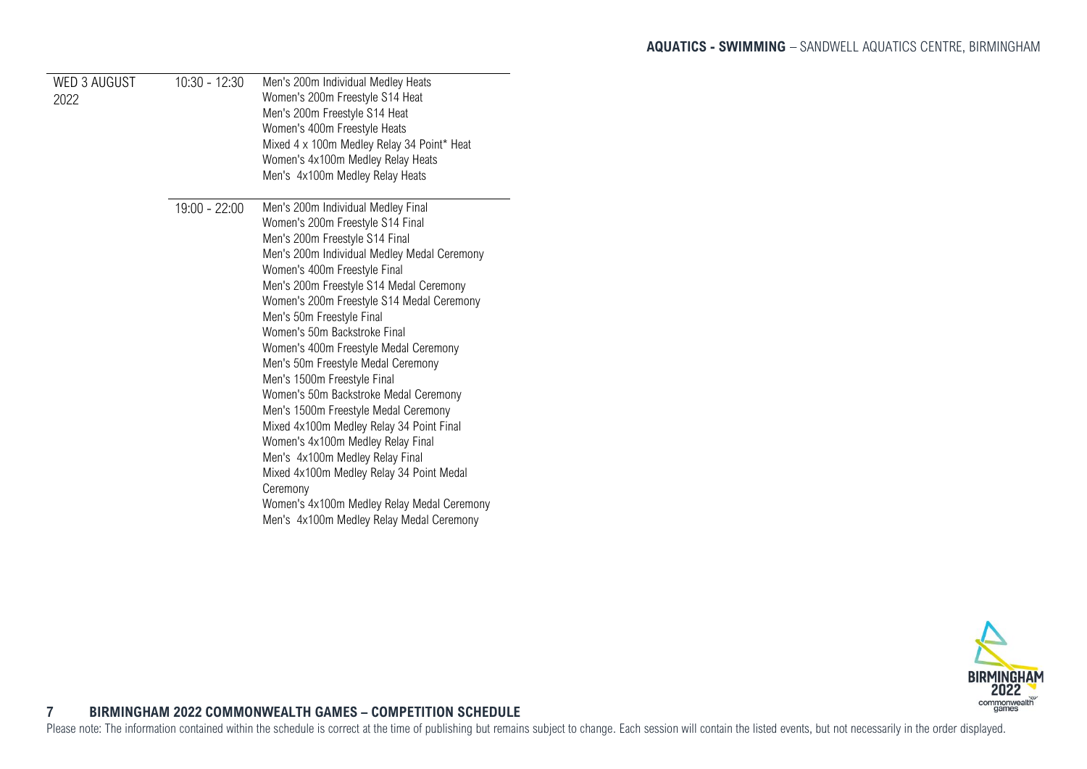<span id="page-7-0"></span>

| <b>WED 3 AUGUST</b><br>2022 | $10:30 - 12:30$ | Men's 200m Individual Medley Heats<br>Women's 200m Freestyle S14 Heat<br>Men's 200m Freestyle S14 Heat<br>Women's 400m Freestyle Heats<br>Mixed 4 x 100m Medley Relay 34 Point* Heat<br>Women's 4x100m Medley Relay Heats<br>Men's 4x100m Medley Relay Heats                                                                                                                                                                                                                                                                                                                                                                                                                                                                                                                                                      |
|-----------------------------|-----------------|-------------------------------------------------------------------------------------------------------------------------------------------------------------------------------------------------------------------------------------------------------------------------------------------------------------------------------------------------------------------------------------------------------------------------------------------------------------------------------------------------------------------------------------------------------------------------------------------------------------------------------------------------------------------------------------------------------------------------------------------------------------------------------------------------------------------|
|                             | 19:00 - 22:00   | Men's 200m Individual Medley Final<br>Women's 200m Freestyle S14 Final<br>Men's 200m Freestyle S14 Final<br>Men's 200m Individual Medley Medal Ceremony<br>Women's 400m Freestyle Final<br>Men's 200m Freestyle S14 Medal Ceremony<br>Women's 200m Freestyle S14 Medal Ceremony<br>Men's 50m Freestyle Final<br>Women's 50m Backstroke Final<br>Women's 400m Freestyle Medal Ceremony<br>Men's 50m Freestyle Medal Ceremony<br>Men's 1500m Freestyle Final<br>Women's 50m Backstroke Medal Ceremony<br>Men's 1500m Freestyle Medal Ceremony<br>Mixed 4x100m Medley Relay 34 Point Final<br>Women's 4x100m Medley Relay Final<br>Men's 4x100m Medley Relay Final<br>Mixed 4x100m Medley Relay 34 Point Medal<br>Ceremony<br>Women's 4x100m Medley Relay Medal Ceremony<br>Men's 4x100m Medley Relay Medal Ceremony |

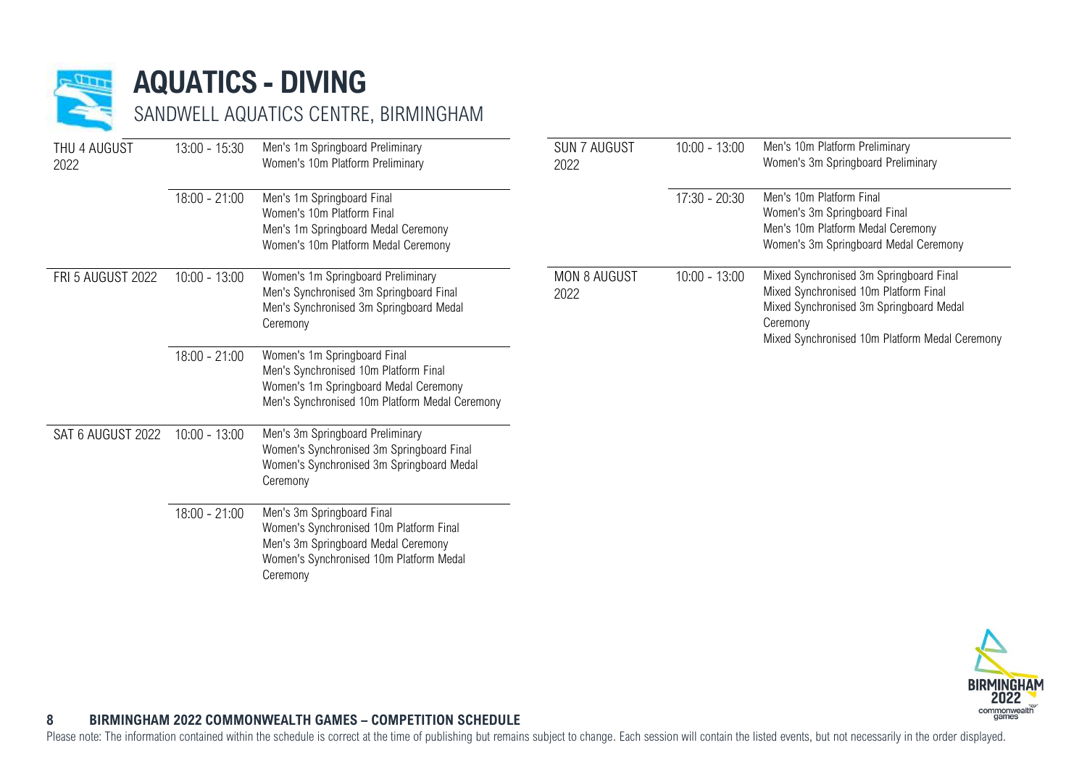

### **AQUATICS - DIVING**

SANDWELL AQUATICS CENTRE, BIRMINGHAM

| THU 4 AUGUST<br>2022 | $13:00 - 15:30$ | Men's 1m Springboard Preliminary<br>Women's 10m Platform Preliminary                                                                                                | <b>SUN 7 AUGUST</b><br>2022 | $10:00 - 13:00$ | Men's 10m Platform Preliminary<br>Women's 3m Springboard Preliminary                                                                                                                      |
|----------------------|-----------------|---------------------------------------------------------------------------------------------------------------------------------------------------------------------|-----------------------------|-----------------|-------------------------------------------------------------------------------------------------------------------------------------------------------------------------------------------|
|                      | $18:00 - 21:00$ | Men's 1m Springboard Final<br>Women's 10m Platform Final<br>Men's 1m Springboard Medal Ceremony<br>Women's 10m Platform Medal Ceremony                              |                             | 17:30 - 20:30   | Men's 10m Platform Final<br>Women's 3m Springboard Final<br>Men's 10m Platform Medal Ceremony<br>Women's 3m Springboard Medal Ceremony                                                    |
| FRI 5 AUGUST 2022    | $10:00 - 13:00$ | Women's 1m Springboard Preliminary<br>Men's Synchronised 3m Springboard Final<br>Men's Synchronised 3m Springboard Medal<br>Ceremony                                | <b>MON 8 AUGUST</b><br>2022 | $10:00 - 13:00$ | Mixed Synchronised 3m Springboard Final<br>Mixed Synchronised 10m Platform Final<br>Mixed Synchronised 3m Springboard Medal<br>Ceremony<br>Mixed Synchronised 10m Platform Medal Ceremony |
|                      | $18:00 - 21:00$ | Women's 1m Springboard Final<br>Men's Synchronised 10m Platform Final<br>Women's 1m Springboard Medal Ceremony<br>Men's Synchronised 10m Platform Medal Ceremony    |                             |                 |                                                                                                                                                                                           |
| SAT 6 AUGUST 2022    | $10:00 - 13:00$ | Men's 3m Springboard Preliminary<br>Women's Synchronised 3m Springboard Final<br>Women's Synchronised 3m Springboard Medal<br>Ceremony                              |                             |                 |                                                                                                                                                                                           |
|                      | $18:00 - 21:00$ | Men's 3m Springboard Final<br>Women's Synchronised 10m Platform Final<br>Men's 3m Springboard Medal Ceremony<br>Women's Synchronised 10m Platform Medal<br>Ceremony |                             |                 |                                                                                                                                                                                           |



### <span id="page-8-0"></span>**8 BIRMINGHAM 2022 COMMONWEALTH GAMES – COMPETITION SCHEDULE**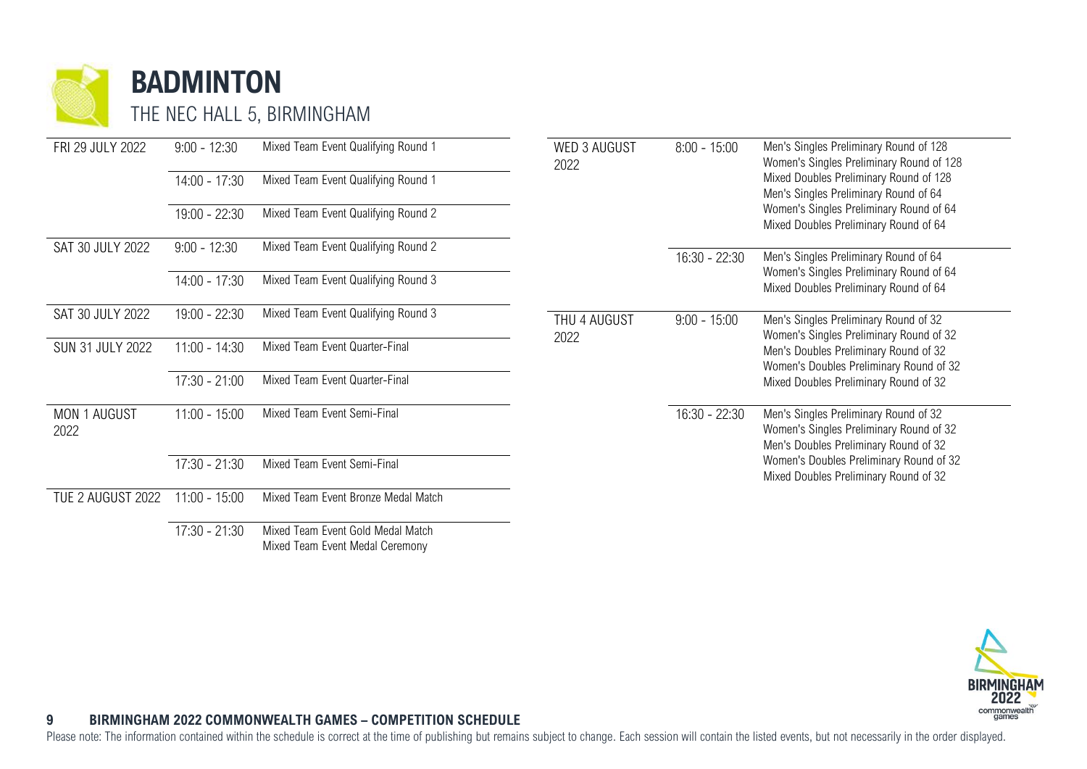

**BADMINTON**

THE NEC HALL 5, BIRMINGHAM

| FRI 29 JULY 2022            | $9:00 - 12:30$  | Mixed Team Event Qualifying Round 1 | <b>WED 3 AUGUST</b><br>2022 | $8:00 - 15:00$ | Men's Singles Preliminary Round of 128<br>Women's Singles Preliminary Round of 128                                        |
|-----------------------------|-----------------|-------------------------------------|-----------------------------|----------------|---------------------------------------------------------------------------------------------------------------------------|
|                             | $14:00 - 17:30$ | Mixed Team Event Qualifying Round 1 |                             |                | Mixed Doubles Preliminary Round of 128<br>Men's Singles Preliminary Round of 64                                           |
|                             | $19:00 - 22:30$ | Mixed Team Event Qualifying Round 2 |                             |                | Women's Singles Preliminary Round of 64<br>Mixed Doubles Preliminary Round of 64                                          |
| SAT 30 JULY 2022            | $9:00 - 12:30$  | Mixed Team Event Qualifying Round 2 |                             | 16:30 - 22:30  | Men's Singles Preliminary Round of 64                                                                                     |
|                             | $14:00 - 17:30$ | Mixed Team Event Qualifying Round 3 |                             |                | Women's Singles Preliminary Round of 64<br>Mixed Doubles Preliminary Round of 64                                          |
| SAT 30 JULY 2022            | 19:00 - 22:30   | Mixed Team Event Qualifying Round 3 | THU 4 AUGUST                | $9:00 - 15:00$ | Men's Singles Preliminary Round of 32<br>Women's Singles Preliminary Round of 32                                          |
| <b>SUN 31 JULY 2022</b>     | $11:00 - 14:30$ | Mixed Team Event Quarter-Final      | 2022                        |                | Men's Doubles Preliminary Round of 32<br>Women's Doubles Preliminary Round of 32                                          |
|                             | $17:30 - 21:00$ | Mixed Team Event Quarter-Final      |                             |                | Mixed Doubles Preliminary Round of 32                                                                                     |
| <b>MON 1 AUGUST</b><br>2022 | $11:00 - 15:00$ | Mixed Team Event Semi-Final         |                             | 16:30 - 22:30  | Men's Singles Preliminary Round of 32<br>Women's Singles Preliminary Round of 32<br>Men's Doubles Preliminary Round of 32 |
|                             | $17:30 - 21:30$ | Mixed Team Event Semi-Final         |                             |                | Women's Doubles Preliminary Round of 32<br>Mixed Doubles Preliminary Round of 32                                          |
| TUE 2 AUGUST 2022           | $11:00 - 15:00$ | Mixed Team Event Bronze Medal Match |                             |                |                                                                                                                           |
|                             | $17:30 - 21:30$ | Mixed Team Event Gold Medal Match   |                             |                |                                                                                                                           |



### **9 BIRMINGHAM 2022 COMMONWEALTH GAMES – COMPETITION SCHEDULE**

Mixed Team Event Medal Ceremony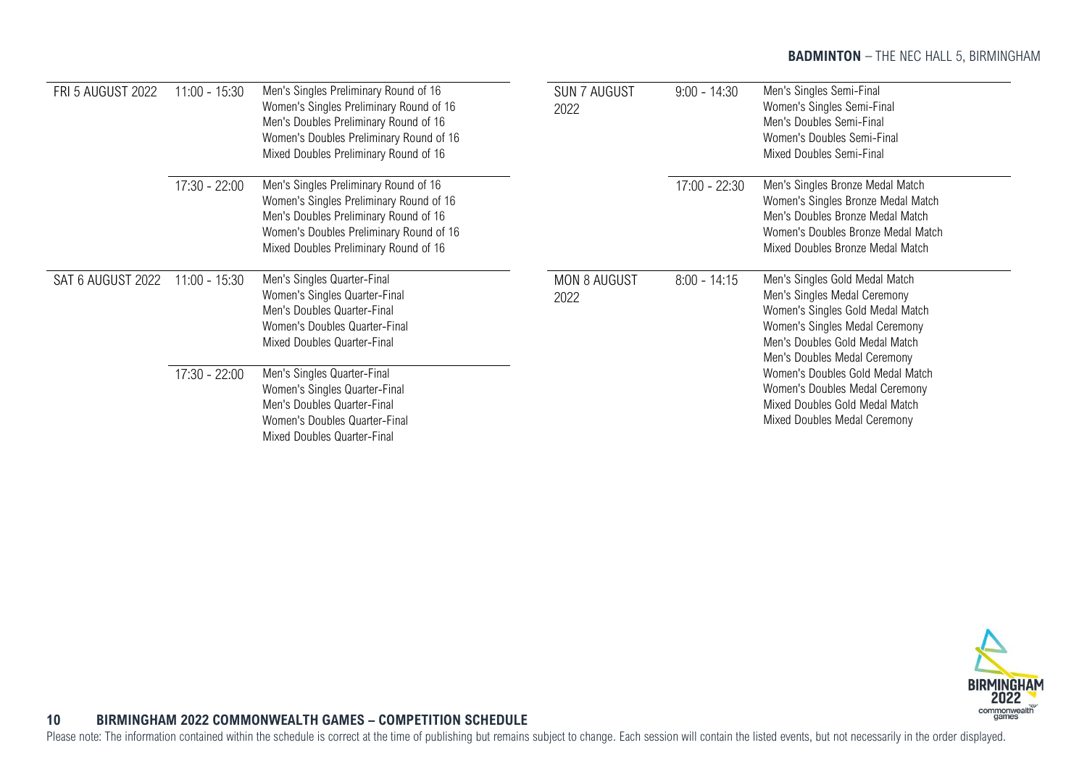### **BADMINTON** - THE NEC HALL 5, BIRMINGHAM

| <b>FRI 5 AUGUST 2022</b> | $11:00 - 15:30$ | Men's Singles Preliminary Round of 16<br>Women's Singles Preliminary Round of 16<br>Men's Doubles Preliminary Round of 16<br>Women's Doubles Preliminary Round of 16<br>Mixed Doubles Preliminary Round of 16 | <b>SUN 7 AUGUST</b><br>2022 | $9:00 - 14:30$  | Men's Singles Semi-Final<br>Women's Singles Semi-Final<br>Men's Doubles Semi-Final<br>Women's Doubles Semi-Final<br>Mixed Doubles Semi-Final                                                           |
|--------------------------|-----------------|---------------------------------------------------------------------------------------------------------------------------------------------------------------------------------------------------------------|-----------------------------|-----------------|--------------------------------------------------------------------------------------------------------------------------------------------------------------------------------------------------------|
|                          | 17:30 - 22:00   | Men's Singles Preliminary Round of 16<br>Women's Singles Preliminary Round of 16<br>Men's Doubles Preliminary Round of 16<br>Women's Doubles Preliminary Round of 16<br>Mixed Doubles Preliminary Round of 16 |                             | $17:00 - 22:30$ | Men's Singles Bronze Medal Match<br>Women's Singles Bronze Medal Match<br>Men's Doubles Bronze Medal Match<br>Women's Doubles Bronze Medal Match<br>Mixed Doubles Bronze Medal Match                   |
| SAT 6 AUGUST 2022        | $11:00 - 15:30$ | Men's Singles Quarter-Final<br>Women's Singles Quarter-Final<br>Men's Doubles Quarter-Final<br>Women's Doubles Quarter-Final<br>Mixed Doubles Quarter-Final                                                   | <b>MON 8 AUGUST</b><br>2022 | $8:00 - 14:15$  | Men's Singles Gold Medal Match<br>Men's Singles Medal Ceremony<br>Women's Singles Gold Medal Match<br>Women's Singles Medal Ceremony<br>Men's Doubles Gold Medal Match<br>Men's Doubles Medal Ceremony |
|                          | $17:30 - 22:00$ | Men's Singles Quarter-Final<br>Women's Singles Quarter-Final<br>Men's Doubles Quarter-Final<br>Women's Doubles Quarter-Final<br>Mixed Doubles Quarter-Final                                                   |                             |                 | Women's Doubles Gold Medal Match<br>Women's Doubles Medal Ceremony<br>Mixed Doubles Gold Medal Match<br>Mixed Doubles Medal Ceremony                                                                   |



### <span id="page-10-0"></span>**10 BIRMINGHAM 2022 COMMONWEALTH GAMES – COMPETITION SCHEDULE**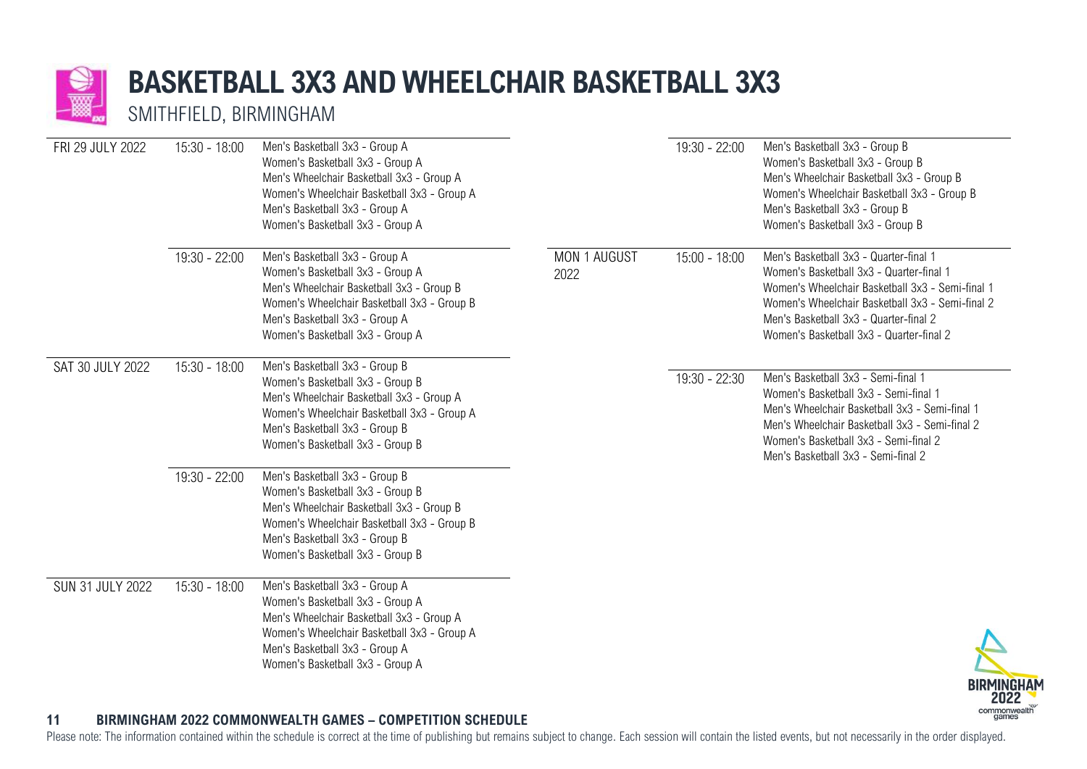

### **BASKETBALL 3X3 AND WHEELCHAIR BASKETBALL 3X3**

SMITHFIELD, BIRMINGHAM

| FRI 29 JULY 2022        | $15:30 - 18:00$ | Men's Basketball 3x3 - Group A<br>Women's Basketball 3x3 - Group A<br>Men's Wheelchair Basketball 3x3 - Group A<br>Women's Wheelchair Basketball 3x3 - Group A<br>Men's Basketball 3x3 - Group A<br>Women's Basketball 3x3 - Group A |                      | 19:30 - 22:00   | Men's Basketball 3x3 - Group B<br>Women's Basketball 3x3 - Group B<br>Men's Wheelchair Basketball 3x3 - Group B<br>Women's Wheelchair Basketball 3x3 - Group B<br>Men's Basketball 3x3 - Group B<br>Women's Basketball 3x3 - Group B                                             |
|-------------------------|-----------------|--------------------------------------------------------------------------------------------------------------------------------------------------------------------------------------------------------------------------------------|----------------------|-----------------|----------------------------------------------------------------------------------------------------------------------------------------------------------------------------------------------------------------------------------------------------------------------------------|
|                         | 19:30 - 22:00   | Men's Basketball 3x3 - Group A<br>Women's Basketball 3x3 - Group A<br>Men's Wheelchair Basketball 3x3 - Group B<br>Women's Wheelchair Basketball 3x3 - Group B<br>Men's Basketball 3x3 - Group A<br>Women's Basketball 3x3 - Group A | MON 1 AUGUST<br>2022 | $15:00 - 18:00$ | Men's Basketball 3x3 - Quarter-final 1<br>Women's Basketball 3x3 - Quarter-final 1<br>Women's Wheelchair Basketball 3x3 - Semi-final 1<br>Women's Wheelchair Basketball 3x3 - Semi-final 2<br>Men's Basketball 3x3 - Quarter-final 2<br>Women's Basketball 3x3 - Quarter-final 2 |
| SAT 30 JULY 2022        | $15:30 - 18:00$ | Men's Basketball 3x3 - Group B<br>Women's Basketball 3x3 - Group B<br>Men's Wheelchair Basketball 3x3 - Group A<br>Women's Wheelchair Basketball 3x3 - Group A<br>Men's Basketball 3x3 - Group B<br>Women's Basketball 3x3 - Group B |                      | 19:30 - 22:30   | Men's Basketball 3x3 - Semi-final 1<br>Women's Basketball 3x3 - Semi-final 1<br>Men's Wheelchair Basketball 3x3 - Semi-final 1<br>Men's Wheelchair Basketball 3x3 - Semi-final 2<br>Women's Basketball 3x3 - Semi-final 2<br>Men's Basketball 3x3 - Semi-final 2                 |
|                         | $19:30 - 22:00$ | Men's Basketball 3x3 - Group B<br>Women's Basketball 3x3 - Group B<br>Men's Wheelchair Basketball 3x3 - Group B<br>Women's Wheelchair Basketball 3x3 - Group B<br>Men's Basketball 3x3 - Group B<br>Women's Basketball 3x3 - Group B |                      |                 |                                                                                                                                                                                                                                                                                  |
| <b>SUN 31 JULY 2022</b> | $15:30 - 18:00$ | Men's Basketball 3x3 - Group A<br>Women's Basketball 3x3 - Group A<br>Men's Wheelchair Basketball 3x3 - Group A<br>Women's Wheelchair Basketball 3x3 - Group A<br>Men's Basketball 3x3 - Group A<br>Women's Basketball 3x3 - Group A |                      |                 | <b>DIDMINIO</b>                                                                                                                                                                                                                                                                  |



### **11 BIRMINGHAM 2022 COMMONWEALTH GAMES – COMPETITION SCHEDULE**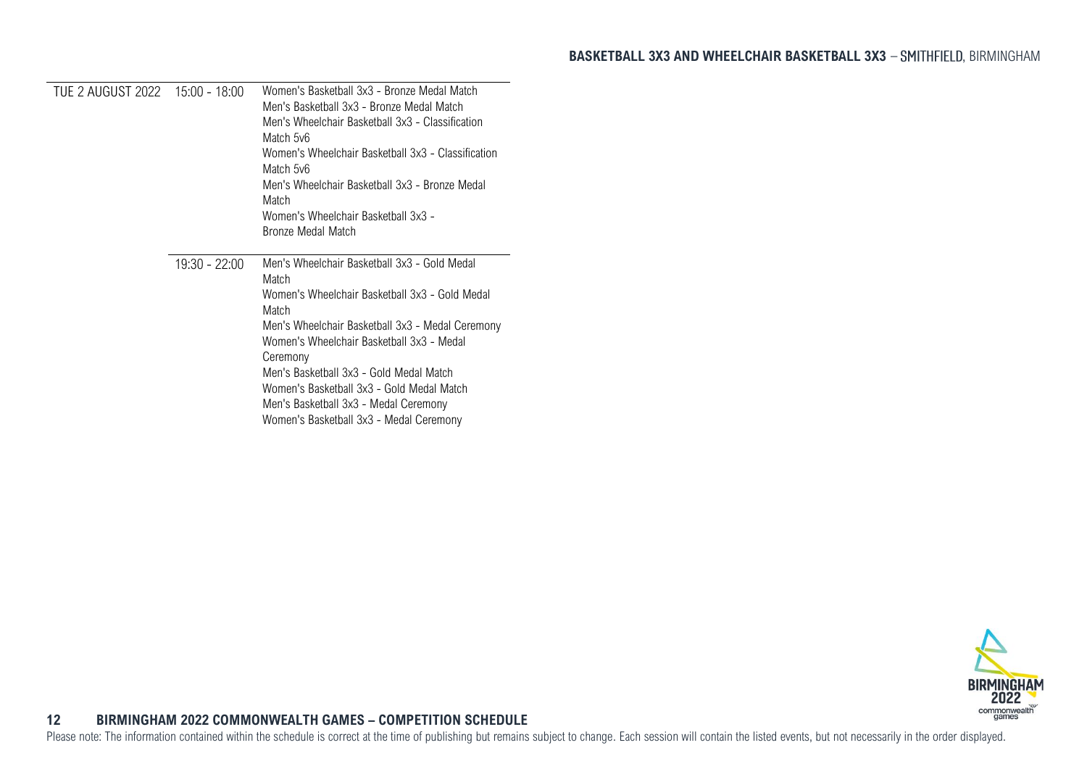<span id="page-12-0"></span>

|               | Women's Basketball 3x3 - Bronze Medal Match<br>Men's Basketball 3x3 - Bronze Medal Match<br>Men's Wheelchair Basketball 3x3 - Classification<br>Match 5v6<br>Women's Wheelchair Basketball 3x3 - Classification<br>Match 5v6<br>Men's Wheelchair Basketball 3x3 - Bronze Medal<br>Match<br>Women's Wheelchair Basketball 3x3 -<br>Bronze Medal Match                                                      |
|---------------|-----------------------------------------------------------------------------------------------------------------------------------------------------------------------------------------------------------------------------------------------------------------------------------------------------------------------------------------------------------------------------------------------------------|
| 19:30 - 22:00 | Men's Wheelchair Basketball 3x3 - Gold Medal<br>Match<br>Women's Wheelchair Basketball 3x3 - Gold Medal<br>Match<br>Men's Wheelchair Basketball 3x3 - Medal Ceremony<br>Women's Wheelchair Basketball 3x3 - Medal<br>Ceremony<br>Men's Basketball 3x3 - Gold Medal Match<br>Women's Basketball 3x3 - Gold Medal Match<br>Men's Basketball 3x3 - Medal Ceremony<br>Women's Basketball 3x3 - Medal Ceremony |

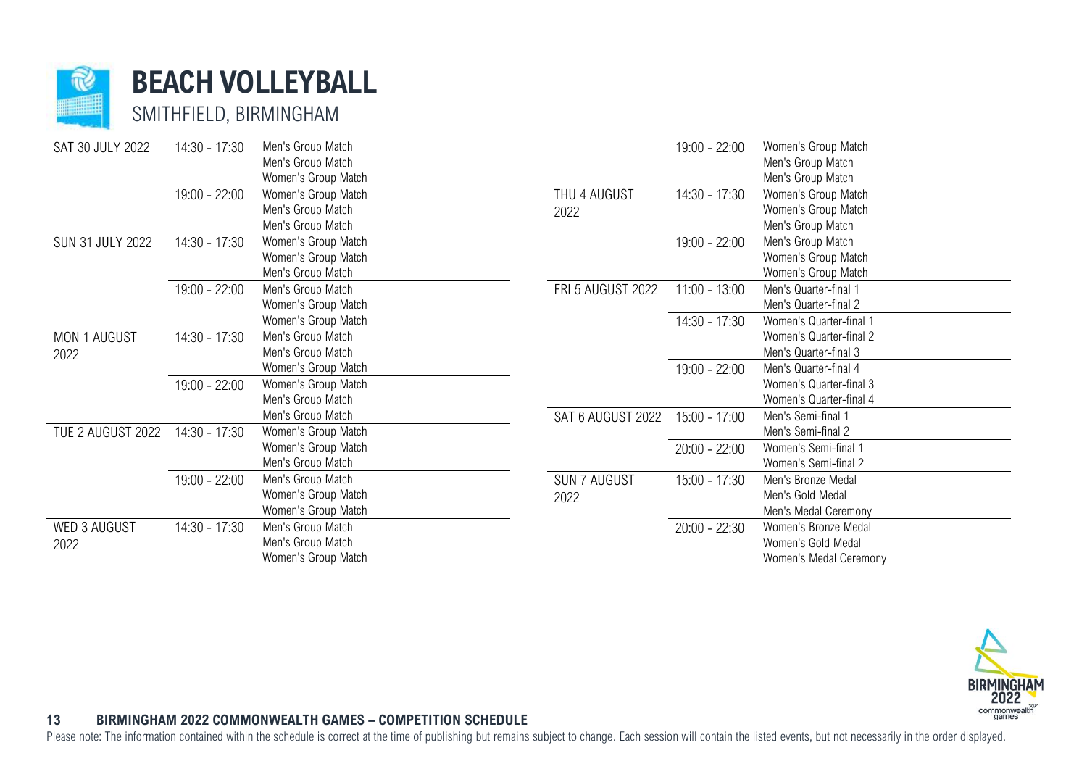

**BEACH VOLLEYBALL**

SMITHFIELD, BIRMINGHAM

| SAT 30 JULY 2022        | 14:30 - 17:30 | Men's Group Match   |                     | 19:00 - 22:00   | Women's Group Match     |
|-------------------------|---------------|---------------------|---------------------|-----------------|-------------------------|
|                         |               | Men's Group Match   |                     |                 | Men's Group Match       |
|                         |               | Women's Group Match |                     |                 | Men's Group Match       |
|                         | 19:00 - 22:00 | Women's Group Match | THU 4 AUGUST        | 14:30 - 17:30   | Women's Group Match     |
|                         |               | Men's Group Match   | 2022                |                 | Women's Group Match     |
|                         |               | Men's Group Match   |                     |                 | Men's Group Match       |
| <b>SUN 31 JULY 2022</b> | 14:30 - 17:30 | Women's Group Match |                     | $19:00 - 22:00$ | Men's Group Match       |
|                         |               | Women's Group Match |                     |                 | Women's Group Match     |
|                         |               | Men's Group Match   |                     |                 | Women's Group Match     |
|                         | 19:00 - 22:00 | Men's Group Match   | FRI 5 AUGUST 2022   | $11:00 - 13:00$ | Men's Quarter-final 1   |
|                         |               | Women's Group Match |                     |                 | Men's Quarter-final 2   |
|                         |               | Women's Group Match |                     | 14:30 - 17:30   | Women's Quarter-final 1 |
| MON 1 AUGUST            | 14:30 - 17:30 | Men's Group Match   |                     |                 | Women's Quarter-final 2 |
| 2022                    |               | Men's Group Match   |                     |                 | Men's Quarter-final 3   |
|                         |               | Women's Group Match |                     | $19:00 - 22:00$ | Men's Quarter-final 4   |
|                         | 19:00 - 22:00 | Women's Group Match |                     |                 | Women's Quarter-final 3 |
|                         |               | Men's Group Match   |                     |                 | Women's Quarter-final 4 |
|                         |               | Men's Group Match   | SAT 6 AUGUST 2022   | 15:00 - 17:00   | Men's Semi-final 1      |
| TUE 2 AUGUST 2022       | 14:30 - 17:30 | Women's Group Match |                     |                 | Men's Semi-final 2      |
|                         |               | Women's Group Match |                     | $20:00 - 22:00$ | Women's Semi-final 1    |
|                         |               | Men's Group Match   |                     |                 | Women's Semi-final 2    |
|                         | 19:00 - 22:00 | Men's Group Match   | <b>SUN 7 AUGUST</b> | 15:00 - 17:30   | Men's Bronze Medal      |
|                         |               | Women's Group Match | 2022                |                 | Men's Gold Medal        |
|                         |               | Women's Group Match |                     |                 | Men's Medal Ceremony    |
| WED 3 AUGUST            | 14:30 - 17:30 | Men's Group Match   |                     | $20:00 - 22:30$ | Women's Bronze Medal    |
| 2022                    |               | Men's Group Match   |                     |                 | Women's Gold Medal      |
|                         |               | Women's Group Match |                     |                 | Women's Medal Ceremony  |



### <span id="page-13-0"></span>**13 BIRMINGHAM 2022 COMMONWEALTH GAMES – COMPETITION SCHEDULE**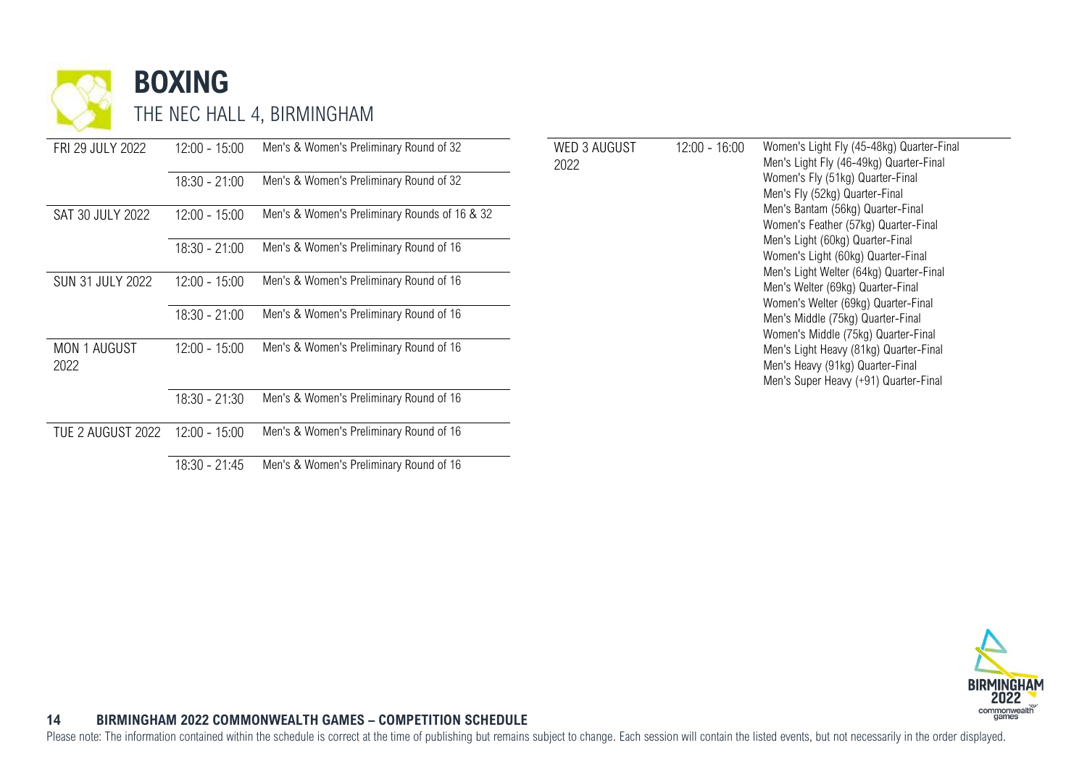

| FRI 29 JULY 2022        | $12:00 - 15:00$ | Men's & Women's Preliminary Round of 32       | <b>WED 3 AUGUST</b> | $12:00 - 16:00$ | Women's Light Fly (45-48kg) Quarter-Final<br>Men's Light Fly (46-49kg) Quarter-Final                                |
|-------------------------|-----------------|-----------------------------------------------|---------------------|-----------------|---------------------------------------------------------------------------------------------------------------------|
|                         | $18:30 - 21:00$ | Men's & Women's Preliminary Round of 32       | 2022                |                 | Women's Fly (51kg) Quarter-Final<br>Men's Fly (52kg) Quarter-Final                                                  |
| SAT 30 JULY 2022        | $12:00 - 15:00$ | Men's & Women's Preliminary Rounds of 16 & 32 |                     |                 | Men's Bantam (56kg) Quarter-Final<br>Women's Feather (57kg) Quarter-Final                                           |
|                         | $18:30 - 21:00$ | Men's & Women's Preliminary Round of 16       |                     |                 | Men's Light (60kg) Quarter-Final<br>Women's Light (60kg) Quarter-Final                                              |
| <b>SUN 31 JULY 2022</b> | $12:00 - 15:00$ | Men's & Women's Preliminary Round of 16       |                     |                 | Men's Light Welter (64kg) Quarter-Final<br>Men's Welter (69kg) Quarter-Final<br>Women's Welter (69kg) Quarter-Final |
|                         | $18:30 - 21:00$ | Men's & Women's Preliminary Round of 16       |                     |                 | Men's Middle (75kg) Quarter-Final<br>Women's Middle (75kg) Quarter-Final                                            |
| MON 1 AUGUST<br>2022    | $12:00 - 15:00$ | Men's & Women's Preliminary Round of 16       |                     |                 | Men's Light Heavy (81kg) Quarter-Final<br>Men's Heavy (91kg) Quarter-Final<br>Men's Super Heavy (+91) Quarter-Final |
|                         | $18:30 - 21:30$ | Men's & Women's Preliminary Round of 16       |                     |                 |                                                                                                                     |
| TUE 2 AUGUST 2022       | $12:00 - 15:00$ | Men's & Women's Preliminary Round of 16       |                     |                 |                                                                                                                     |
|                         | $18:30 - 21:45$ | Men's & Women's Preliminary Round of 16       |                     |                 |                                                                                                                     |

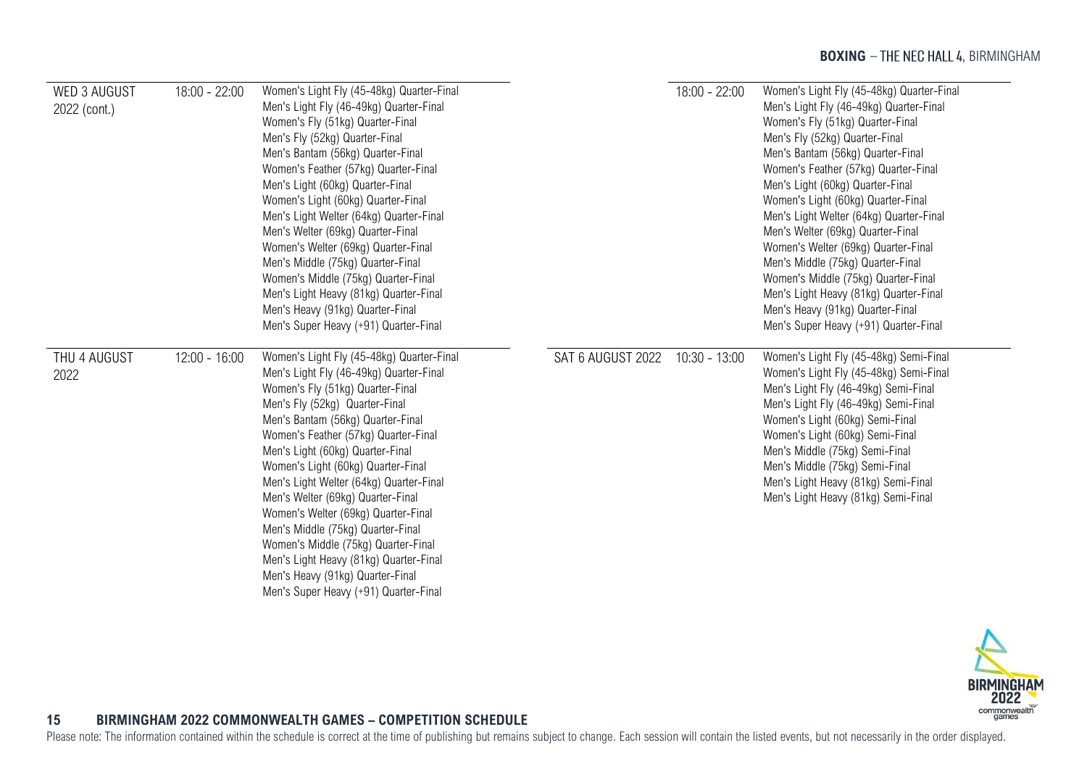| WED 3 AUGUST<br>2022 (cont.) | $18:00 - 22:00$ | Women's Light Fly (45-48kg) Quarter-Final<br>Men's Light Fly (46-49kg) Quarter-Final<br>Women's Fly (51kg) Quarter-Final<br>Men's Fly (52kg) Quarter-Final<br>Men's Bantam (56kg) Quarter-Final<br>Women's Feather (57kg) Quarter-Final<br>Men's Light (60kg) Quarter-Final<br>Women's Light (60kg) Quarter-Final<br>Men's Light Welter (64kg) Quarter-Final<br>Men's Welter (69kg) Quarter-Final<br>Women's Welter (69kg) Quarter-Final<br>Men's Middle (75kg) Quarter-Final<br>Women's Middle (75kg) Quarter-Final<br>Men's Light Heavy (81kg) Quarter-Final<br>Men's Heavy (91kg) Quarter-Final<br>Men's Super Heavy (+91) Quarter-Final |                   | $18:00 - 22:00$ | Women's Light Fly (45-48kg) Quarter-Final<br>Men's Light Fly (46-49kg) Quarter-Final<br>Women's Fly (51kg) Quarter-Final<br>Men's Fly (52kg) Quarter-Final<br>Men's Bantam (56kg) Quarter-Final<br>Women's Feather (57kg) Quarter-Final<br>Men's Light (60kg) Quarter-Final<br>Women's Light (60kg) Quarter-Final<br>Men's Light Welter (64kg) Quarter-Final<br>Men's Welter (69kg) Quarter-Final<br>Women's Welter (69kg) Quarter-Final<br>Men's Middle (75kg) Quarter-Final<br>Women's Middle (75kg) Quarter-Final<br>Men's Light Heavy (81kg) Quarter-Final<br>Men's Heavy (91kg) Quarter-Final<br>Men's Super Heavy (+91) Quarter-Final |
|------------------------------|-----------------|---------------------------------------------------------------------------------------------------------------------------------------------------------------------------------------------------------------------------------------------------------------------------------------------------------------------------------------------------------------------------------------------------------------------------------------------------------------------------------------------------------------------------------------------------------------------------------------------------------------------------------------------|-------------------|-----------------|---------------------------------------------------------------------------------------------------------------------------------------------------------------------------------------------------------------------------------------------------------------------------------------------------------------------------------------------------------------------------------------------------------------------------------------------------------------------------------------------------------------------------------------------------------------------------------------------------------------------------------------------|
| THU 4 AUGUST<br>2022         | $12:00 - 16:00$ | Women's Light Fly (45-48kg) Quarter-Final<br>Men's Light Fly (46-49kg) Quarter-Final<br>Women's Fly (51kg) Quarter-Final<br>Men's Fly (52kg) Quarter-Final<br>Men's Bantam (56kg) Quarter-Final<br>Women's Feather (57kg) Quarter-Final<br>Men's Light (60kg) Quarter-Final<br>Women's Light (60kg) Quarter-Final<br>Men's Light Welter (64kg) Quarter-Final<br>Men's Welter (69kg) Quarter-Final<br>Women's Welter (69kg) Quarter-Final<br>Men's Middle (75kg) Quarter-Final<br>Women's Middle (75kg) Quarter-Final<br>Men's Light Heavy (81kg) Quarter-Final<br>Men's Heavy (91kg) Quarter-Final<br>Men's Super Heavy (+91) Quarter-Final | SAT 6 AUGUST 2022 | 10:30 - 13:00   | Women's Light Fly (45-48kg) Semi-Final<br>Women's Light Fly (45-48kg) Semi-Final<br>Men's Light Fly (46-49kg) Semi-Final<br>Men's Light Fly (46-49kg) Semi-Final<br>Women's Light (60kg) Semi-Final<br>Women's Light (60kg) Semi-Final<br>Men's Middle (75kg) Semi-Final<br>Men's Middle (75kg) Semi-Final<br>Men's Light Heavy (81kg) Semi-Final<br>Men's Light Heavy (81kg) Semi-Final                                                                                                                                                                                                                                                    |

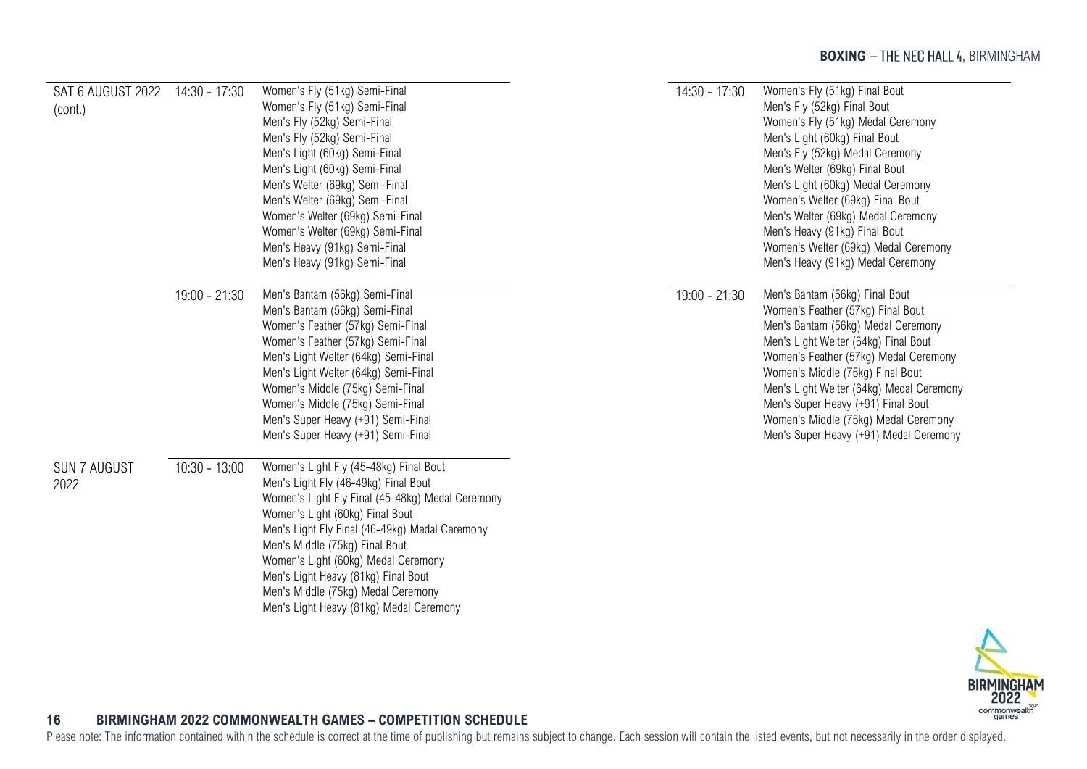<span id="page-16-0"></span>

| SAT 6 AUGUST 2022<br>(cont.) | 14:30 - 17:30   | Women's Fly (51kg) Semi-Final<br>Women's Fly (51kg) Semi-Final<br>Men's Fly (52kg) Semi-Final<br>Men's Fly (52kg) Semi-Final<br>Men's Light (60kg) Semi-Final<br>Men's Light (60kg) Semi-Final<br>Men's Welter (69kg) Semi-Final<br>Men's Welter (69kg) Semi-Final<br>Women's Welter (69kg) Semi-Final<br>Women's Welter (69kg) Semi-Final<br>Men's Heavy (91kg) Semi-Final<br>Men's Heavy (91kg) Semi-Final             | 14:30 - 17:30 | Women's Fly (51kg) Final Bout<br>Men's Fly (52kg) Final Bout<br>Women's Fly (51kg) Medal Ceremony<br>Men's Light (60kg) Final Bout<br>Men's Fly (52kg) Medal Ceremony<br>Men's Welter (69kg) Final Bout<br>Men's Light (60kg) Medal Ceremony<br>Women's Welter (69kg) Final Bout<br>Men's Welter (69kg) Medal Ceremony<br>Men's Heavy (91kg) Final Bout<br>Women's Welter (69kg) Medal Ceremony<br>Men's Heavy (91kg) Medal Ceremony |
|------------------------------|-----------------|--------------------------------------------------------------------------------------------------------------------------------------------------------------------------------------------------------------------------------------------------------------------------------------------------------------------------------------------------------------------------------------------------------------------------|---------------|--------------------------------------------------------------------------------------------------------------------------------------------------------------------------------------------------------------------------------------------------------------------------------------------------------------------------------------------------------------------------------------------------------------------------------------|
|                              | 19:00 - 21:30   | Men's Bantam (56kg) Semi-Final<br>Men's Bantam (56kg) Semi-Final<br>Women's Feather (57kg) Semi-Final<br>Women's Feather (57kg) Semi-Final<br>Men's Light Welter (64kg) Semi-Final<br>Men's Light Welter (64kg) Semi-Final<br>Women's Middle (75kg) Semi-Final<br>Women's Middle (75kg) Semi-Final<br>Men's Super Heavy (+91) Semi-Final<br>Men's Super Heavy (+91) Semi-Final                                           | 19:00 - 21:30 | Men's Bantam (56kg) Final Bout<br>Women's Feather (57kg) Final Bout<br>Men's Bantam (56kg) Medal Ceremony<br>Men's Light Welter (64kg) Final Bout<br>Women's Feather (57kg) Medal Ceremony<br>Women's Middle (75kg) Final Bout<br>Men's Light Welter (64kg) Medal Ceremony<br>Men's Super Heavy (+91) Final Bout<br>Women's Middle (75kg) Medal Ceremony<br>Men's Super Heavy (+91) Medal Ceremony                                   |
| <b>SUN 7 AUGUST</b><br>2022  | $10:30 - 13:00$ | Women's Light Fly (45-48kg) Final Bout<br>Men's Light Fly (46-49kg) Final Bout<br>Women's Light Fly Final (45-48kg) Medal Ceremony<br>Women's Light (60kg) Final Bout<br>Men's Light Fly Final (46-49kg) Medal Ceremony<br>Men's Middle (75kg) Final Bout<br>Women's Light (60kg) Medal Ceremony<br>Men's Light Heavy (81kg) Final Bout<br>Men's Middle (75kg) Medal Ceremony<br>Men's Light Heavy (81kg) Medal Ceremony |               |                                                                                                                                                                                                                                                                                                                                                                                                                                      |

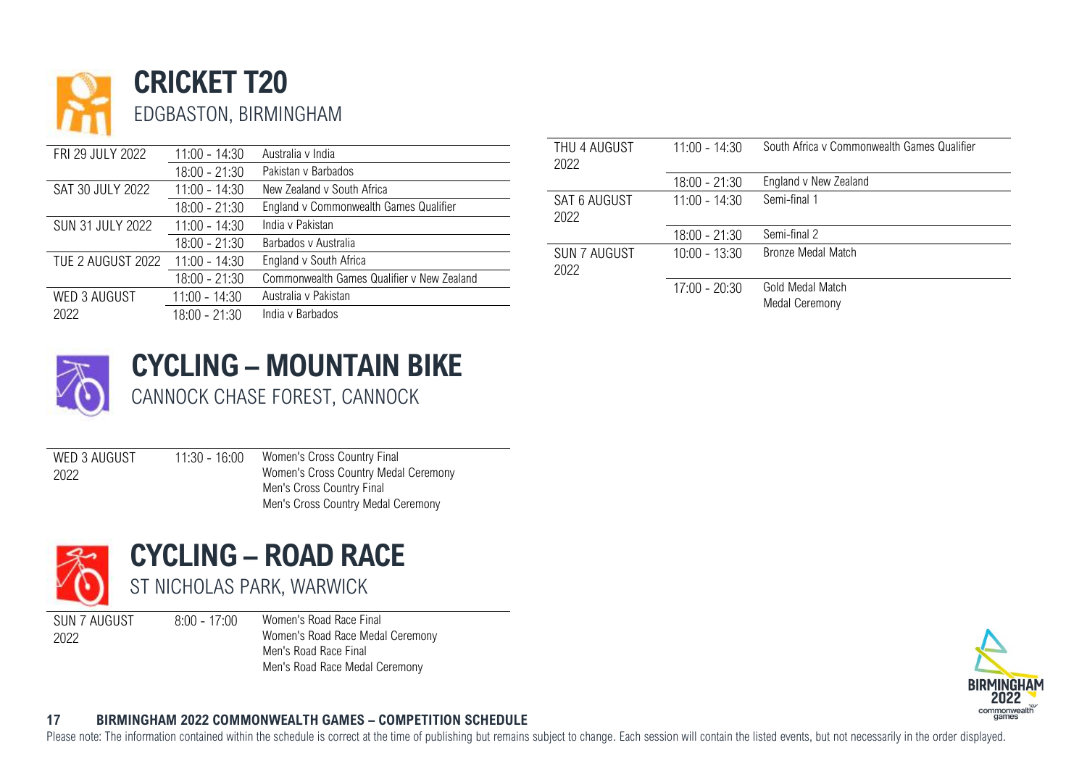

|                         |                 |                                            | THU 4 AUGUST        | $11:00 - 14:30$ |  |
|-------------------------|-----------------|--------------------------------------------|---------------------|-----------------|--|
| FRI 29 JULY 2022        | $11:00 - 14:30$ | Australia y India                          |                     |                 |  |
|                         | $18:00 - 21:30$ | Pakistan v Barbados                        | 2022                |                 |  |
| SAT 30 JULY 2022        | $11:00 - 14:30$ | New Zealand v South Africa                 |                     | $18:00 - 21:30$ |  |
|                         | $18:00 - 21:30$ | England v Commonwealth Games Qualifier     | <b>SAT 6 AUGUST</b> | $11:00 - 14:30$ |  |
| <b>SUN 31 JULY 2022</b> | $11:00 - 14:30$ | India v Pakistan                           | 2022                |                 |  |
|                         | $18:00 - 21:30$ | Barbados y Australia                       |                     | $18:00 - 21:30$ |  |
| TUE 2 AUGUST 2022       | $11:00 - 14:30$ | England v South Africa                     | <b>SUN 7 AUGUST</b> | $10:00 - 13:30$ |  |
|                         | $18:00 - 21:30$ | Commonwealth Games Qualifier v New Zealand | 2022                | $17:00 - 20:30$ |  |
| <b>WED 3 AUGUST</b>     | $11:00 - 14:30$ | Australia v Pakistan                       |                     |                 |  |
| 2022                    | $18:00 - 21:30$ | India y Barbados                           |                     |                 |  |
|                         |                 |                                            |                     |                 |  |

| THU 4 AUGUST<br>2022        | $11:00 - 14:30$ | South Africa y Commonwealth Games Qualifier |
|-----------------------------|-----------------|---------------------------------------------|
|                             | 18:00 - 21:30   | England v New Zealand                       |
| SAT 6 AUGUST<br>2022        | $11:00 - 14:30$ | Semi-final 1                                |
|                             | 18:00 - 21:30   | Semi-final 2                                |
| <b>SUN 7 AUGUST</b><br>2022 | $10:00 - 13:30$ | Bronze Medal Match                          |
|                             | 17:00 - 20:30   | Gold Medal Match<br><b>Medal Ceremony</b>   |



# <span id="page-17-0"></span>**CYCLING – MOUNTAIN BIKE**

CANNOCK CHASE FOREST, CANNOCK

WED 3 AUGUST 2022 11:30 - 16:00 Women's Cross Country Final Women's Cross Country Medal Ceremony Men's Cross Country Final Men's Cross Country Medal Ceremony

<span id="page-17-1"></span>

SUN 7 AUGUST 2022

8:00 - 17:00 Women's Road Race Final Women's Road Race Medal Ceremony Men's Road Race Final Men's Road Race Medal Ceremony

# **BIRMING** commonwealth

### **17 BIRMINGHAM 2022 COMMONWEALTH GAMES – COMPETITION SCHEDULE**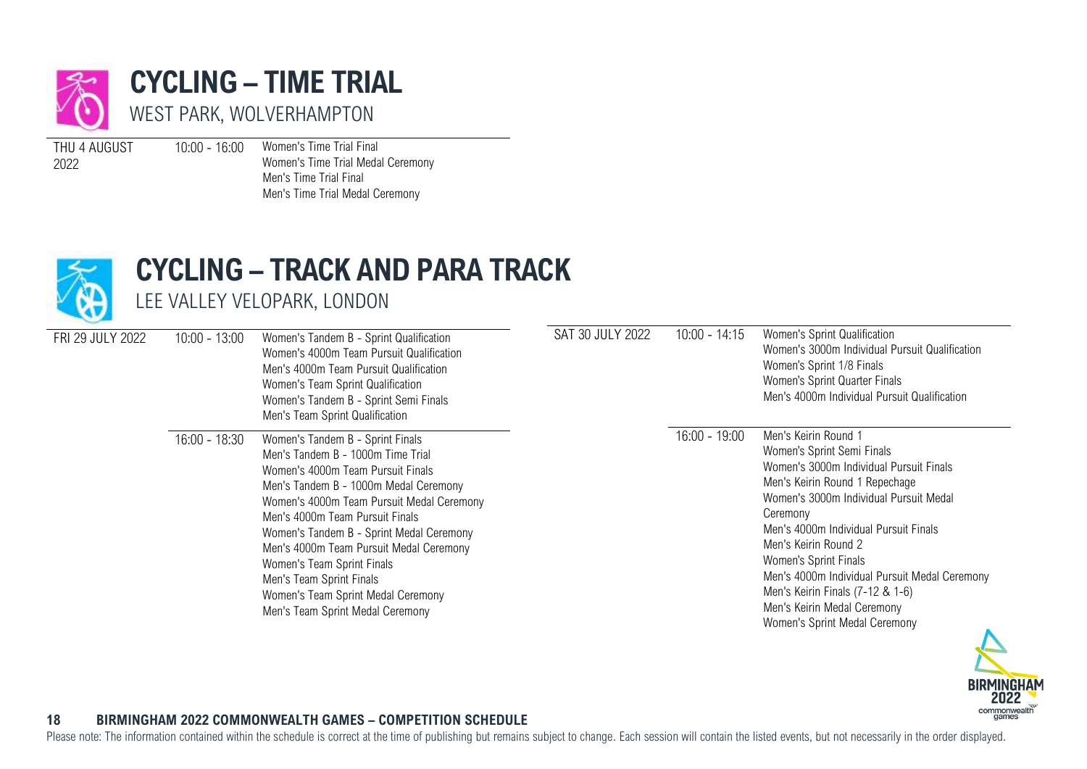

<span id="page-18-0"></span>**CYCLING – TIME TRIAL** WEST PARK, WOLVERHAMPTON

THU 4 AUGUST 2022

10:00 - 16:00 Women's Time Trial Final Women's Time Trial Medal Ceremony Men's Time Trial Final Men's Time Trial Medal Ceremony



## <span id="page-18-1"></span>**CYCLING – TRACK AND PARA TRACK**

LEE VALLEY VELOPARK, LONDON

| FRI 29 JULY 2022 | $10:00 - 13:00$ | Women's Tandem B - Sprint Qualification<br>Women's 4000m Team Pursuit Qualification<br>Men's 4000m Team Pursuit Qualification<br>Women's Team Sprint Qualification<br>Women's Tandem B - Sprint Semi Finals<br>Men's Team Sprint Qualification                                                                                                                                                                                                                 | SAT 30 JULY 2022 | $10:00 - 14:15$ | Women's Sprint Qualification<br>Women's 3000m Individual Pursuit Qualification<br>Women's Sprint 1/8 Finals<br>Women's Sprint Quarter Finals<br>Men's 4000m Individual Pursuit Qualification                                                                                                                                                                                                                                         |
|------------------|-----------------|----------------------------------------------------------------------------------------------------------------------------------------------------------------------------------------------------------------------------------------------------------------------------------------------------------------------------------------------------------------------------------------------------------------------------------------------------------------|------------------|-----------------|--------------------------------------------------------------------------------------------------------------------------------------------------------------------------------------------------------------------------------------------------------------------------------------------------------------------------------------------------------------------------------------------------------------------------------------|
|                  | $16:00 - 18:30$ | Women's Tandem B - Sprint Finals<br>Men's Tandem B - 1000m Time Trial<br>Women's 4000m Team Pursuit Finals<br>Men's Tandem B - 1000m Medal Ceremony<br>Women's 4000m Team Pursuit Medal Ceremony<br>Men's 4000m Team Pursuit Finals<br>Women's Tandem B - Sprint Medal Ceremony<br>Men's 4000m Team Pursuit Medal Ceremony<br>Women's Team Sprint Finals<br>Men's Team Sprint Finals<br>Women's Team Sprint Medal Ceremony<br>Men's Team Sprint Medal Ceremony |                  | $16:00 - 19:00$ | Men's Keirin Round 1<br>Women's Sprint Semi Finals<br>Women's 3000m Individual Pursuit Finals<br>Men's Keirin Round 1 Repechage<br>Women's 3000m Individual Pursuit Medal<br>Ceremony<br>Men's 4000m Individual Pursuit Finals<br>Men's Keirin Round 2<br>Women's Sprint Finals<br>Men's 4000m Individual Pursuit Medal Ceremony<br>Men's Keirin Finals (7-12 & 1-6)<br>Men's Keirin Medal Ceremony<br>Women's Sprint Medal Ceremony |



### **18 BIRMINGHAM 2022 COMMONWEALTH GAMES – COMPETITION SCHEDULE**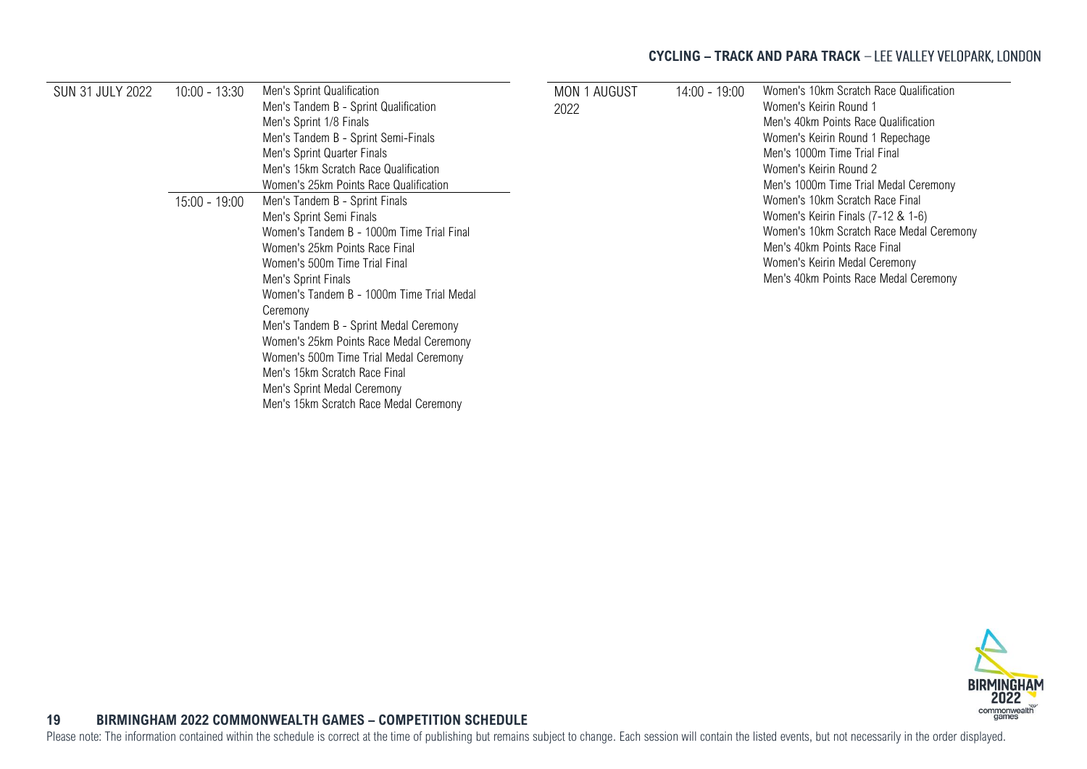### **CYCLING – TRACK AND PARA TRACK**

| <b>SUN 31 JULY 2022</b> | $10:00 - 13:30$ | Men's Sprint Qualification<br>Men's Tandem B - Sprint Qualification | MON 1 AUGUST | 14:00 - 19:00 | Women's 10km Scratch Race Qualification<br>Women's Keirin Round 1              |
|-------------------------|-----------------|---------------------------------------------------------------------|--------------|---------------|--------------------------------------------------------------------------------|
|                         |                 | Men's Sprint 1/8 Finals                                             | 2022         |               | Men's 40km Points Race Qualification                                           |
|                         |                 | Men's Tandem B - Sprint Semi-Finals                                 |              |               | Women's Keirin Round 1 Repechage                                               |
|                         |                 | Men's Sprint Quarter Finals                                         |              |               | Men's 1000m Time Trial Final                                                   |
|                         |                 | Men's 15km Scratch Race Qualification                               |              |               | Women's Keirin Round 2                                                         |
|                         |                 | Women's 25km Points Race Qualification                              |              |               | Men's 1000m Time Trial Medal Ceremony                                          |
|                         | $15:00 - 19:00$ | Men's Tandem B - Sprint Finals                                      |              |               | Women's 10km Scratch Race Final                                                |
|                         |                 | Men's Sprint Semi Finals                                            |              |               | Women's Keirin Finals (7-12 & 1-6)<br>Women's 10km Scratch Race Medal Ceremony |
|                         |                 | Women's Tandem B - 1000m Time Trial Final                           |              |               |                                                                                |
|                         |                 | Women's 25km Points Race Final                                      |              |               | Men's 40km Points Race Final                                                   |
|                         |                 | Women's 500m Time Trial Final                                       |              |               | Women's Keirin Medal Ceremony                                                  |
|                         |                 | Men's Sprint Finals                                                 |              |               | Men's 40km Points Race Medal Ceremony                                          |
|                         |                 | Women's Tandem B - 1000m Time Trial Medal                           |              |               |                                                                                |
|                         |                 | Ceremony                                                            |              |               |                                                                                |
|                         |                 | Men's Tandem B - Sprint Medal Ceremony                              |              |               |                                                                                |
|                         |                 | Women's 25km Points Race Medal Ceremony                             |              |               |                                                                                |
|                         |                 | Women's 500m Time Trial Medal Ceremony                              |              |               |                                                                                |
|                         |                 | Men's 15km Scratch Race Final                                       |              |               |                                                                                |
|                         |                 | Men's Sprint Medal Ceremony                                         |              |               |                                                                                |
|                         |                 | Men's 15km Scratch Race Medal Ceremony                              |              |               |                                                                                |



### <span id="page-19-0"></span>**19 BIRMINGHAM 2022 COMMONWEALTH GAMES – COMPETITION SCHEDULE**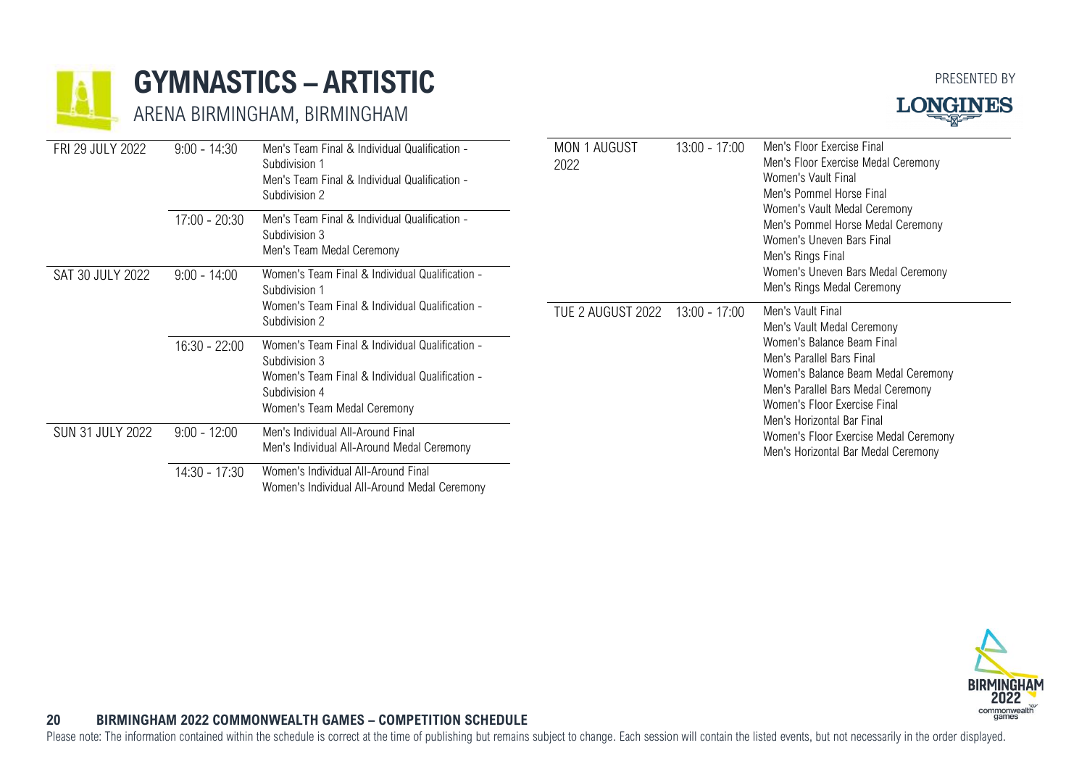

### **GYMNASTICS – ARTISTIC**

ARENA BIRMINGHAM, BIRMINGHAM





| FRI 29 JULY 2022        | $9:00 - 14:30$<br>$17:00 - 20:30$ | Men's Team Final & Individual Qualification -<br>Subdivision 1<br>Men's Team Final & Individual Qualification -<br>Subdivision 2<br>Men's Team Final & Individual Qualification - | <b>MON 1 AUGUST</b><br>2022 | 13:00 - 17:00   | Men's Floor Exercise Final<br>Men's Floor Exercise Medal Ceremony<br>Women's Vault Final<br>Men's Pommel Horse Final<br>Women's Vault Medal Ceremony<br>Men's Pommel Horse Medal Ceremony<br>Women's Uneven Bars Final<br>Men's Rings Final           |
|-------------------------|-----------------------------------|-----------------------------------------------------------------------------------------------------------------------------------------------------------------------------------|-----------------------------|-----------------|-------------------------------------------------------------------------------------------------------------------------------------------------------------------------------------------------------------------------------------------------------|
|                         |                                   | Subdivision 3<br>Men's Team Medal Ceremony                                                                                                                                        |                             |                 |                                                                                                                                                                                                                                                       |
| SAT 30 JULY 2022        | $9:00 - 14:00$                    | Women's Team Final & Individual Qualification -<br>Subdivision 1<br>Women's Team Final & Individual Qualification -<br>Subdivision 2                                              |                             |                 | Women's Uneven Bars Medal Ceremony<br>Men's Rings Medal Ceremony                                                                                                                                                                                      |
|                         |                                   |                                                                                                                                                                                   | TUE 2 AUGUST 2022           | $13:00 - 17:00$ | Men's Vault Final<br>Men's Vault Medal Ceremony<br>Women's Balance Beam Final<br>Men's Parallel Bars Final<br>Women's Balance Beam Medal Ceremony<br>Men's Parallel Bars Medal Ceremony<br>Women's Floor Exercise Final<br>Men's Horizontal Bar Final |
|                         | $16:30 - 22:00$                   | Women's Team Final & Individual Qualification -<br>Subdivision 3<br>Women's Team Final & Individual Qualification -<br>Subdivision 4<br>Women's Team Medal Ceremony               |                             |                 |                                                                                                                                                                                                                                                       |
| <b>SUN 31 JULY 2022</b> | $9:00 - 12:00$                    | Men's Individual All-Around Final<br>Men's Individual All-Around Medal Ceremony                                                                                                   |                             |                 | Women's Floor Exercise Medal Ceremony<br>Men's Horizontal Bar Medal Ceremony                                                                                                                                                                          |
|                         | 14:30 - 17:30                     | Women's Individual All-Around Final                                                                                                                                               |                             |                 |                                                                                                                                                                                                                                                       |

<span id="page-20-0"></span>Women's Individual All-Around Medal Ceremony



### **20 BIRMINGHAM 2022 COMMONWEALTH GAMES – COMPETITION SCHEDULE**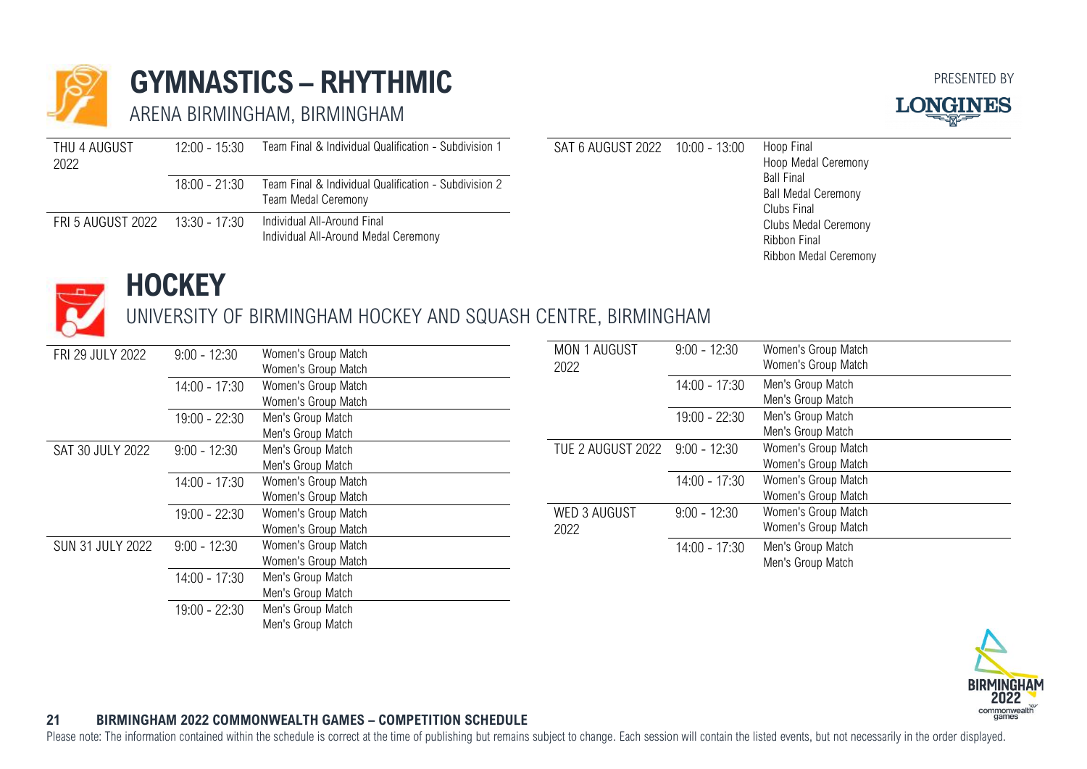

### **GYMNASTICS – RHYTHMIC**

ARENA BIRMINGHAM, BIRMINGHAM



| THU 4 AUGUST      | $12:00 - 15:30$ | Team Final & Individual Qualification - Subdivision 1 | SAT 6 AUGUST 2022 | $10:00 - 13:00$ | Hoop Final<br>Hoop Medal Ceremony |
|-------------------|-----------------|-------------------------------------------------------|-------------------|-----------------|-----------------------------------|
| 2022              |                 |                                                       |                   |                 |                                   |
|                   | $18:00 - 21:30$ | Team Final & Individual Qualification - Subdivision 2 |                   |                 | <b>Ball Final</b>                 |
|                   |                 |                                                       |                   |                 | <b>Ball Medal Ceremony</b>        |
|                   |                 | Team Medal Ceremony                                   |                   |                 | Clubs Final                       |
| FRI 5 AUGUST 2022 | 13:30 - 17:30   | Individual All-Around Final                           |                   |                 | Clubs Medal Ceremony              |
|                   |                 |                                                       |                   |                 |                                   |
|                   |                 | Individual All-Around Medal Ceremony                  |                   |                 | Ribbon Final                      |
|                   |                 |                                                       |                   |                 | <b>Ribbon Medal Ceremony</b>      |



### <span id="page-21-0"></span>**HOCKEY**

### UNIVERSITY OF BIRMINGHAM HOCKEY AND SQUASH CENTRE, BIRMINGHAM

| FRI 29 JULY 2022        | $9:00 - 12:30$  | <b>MON 1 AUGUST</b><br>Women's Group Match | $9:00 - 12:30$ |
|-------------------------|-----------------|--------------------------------------------|----------------|
|                         |                 | 2022<br>Women's Group Match                |                |
|                         | $14:00 - 17:30$ | Women's Group Match                        | $14:00 - 17:3$ |
|                         |                 | Women's Group Match                        |                |
|                         | 19:00 - 22:30   | Men's Group Match                          | 19:00 - 22:3   |
|                         |                 | Men's Group Match                          |                |
| SAT 30 JULY 2022        | $9:00 - 12:30$  | TUE 2 AUGUST 2022<br>Men's Group Match     | $9:00 - 12:30$ |
|                         |                 | Men's Group Match                          |                |
|                         | $14:00 - 17:30$ | Women's Group Match                        | $14:00 - 17:3$ |
|                         |                 | Women's Group Match                        |                |
|                         | $19:00 - 22:30$ | WED 3 AUGUST<br>Women's Group Match        | $9:00 - 12:30$ |
|                         |                 | Women's Group Match<br>2022                |                |
| <b>SUN 31 JULY 2022</b> | $9:00 - 12:30$  | Women's Group Match                        | $14:00 - 17:3$ |
|                         |                 | Women's Group Match                        |                |
|                         | $14:00 - 17:30$ | Men's Group Match                          |                |
|                         |                 | Men's Group Match                          |                |
|                         | $19:00 - 22:30$ | Men's Group Match                          |                |
|                         |                 | Men's Group Match                          |                |
|                         |                 |                                            |                |

### Women's Group Match Women's Group Match 30 Men's Group Match Men's Group Match 30 Men's Group Match Men's Group Match 0 Women's Group Match Women's Group Match 14:00 - 17:30 Women's Group Match Women's Group Match 0 Women's Group Match Women's Group Match 30 Men's Group Match Men's Group Match



### **21 BIRMINGHAM 2022 COMMONWEALTH GAMES – COMPETITION SCHEDULE**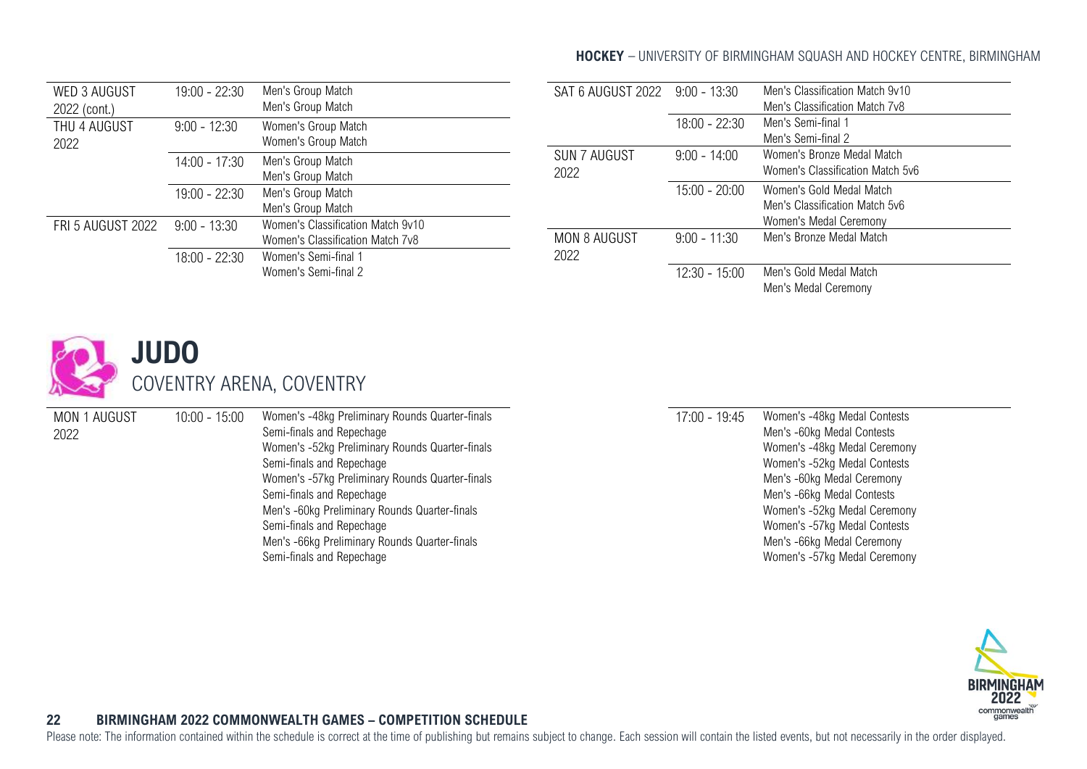### **HOCKEY** - UNIVERSITY OF BIRMINGHAM SQUASH AND HOCKEY CENTRE, BIRMINGHAM

| <b>WED 3 AUGUST</b><br>2022 (cont.) | 19:00 - 22:30   | Men's Group Match<br>Men's Group Match                                |
|-------------------------------------|-----------------|-----------------------------------------------------------------------|
| THU 4 AUGUST<br>2022                | $9:00 - 12:30$  | Women's Group Match<br>Women's Group Match                            |
|                                     | $14:00 - 17:30$ | Men's Group Match<br>Men's Group Match                                |
|                                     | 19:00 - 22:30   | Men's Group Match<br>Men's Group Match                                |
| <b>FRI 5 AUGUST 2022</b>            | $9:00 - 13:30$  | Women's Classification Match 9v10<br>Women's Classification Match 7v8 |
|                                     | $18:00 - 22:30$ | Women's Semi-final 1<br>Women's Semi-final 2                          |

| SAT 6 AUGUST 2022 9:00 - 13:30 |                 | Men's Classification Match 9y10<br>Men's Classification Match 7v8 |  |  |  |  |
|--------------------------------|-----------------|-------------------------------------------------------------------|--|--|--|--|
|                                |                 |                                                                   |  |  |  |  |
|                                | $18:00 - 22:30$ | Men's Semi-final 1                                                |  |  |  |  |
|                                |                 | Men's Semi-final 2                                                |  |  |  |  |
| SUN 7 AUGUST                   | $9:00 - 14:00$  | Women's Bronze Medal Match                                        |  |  |  |  |
| 2022                           |                 | Women's Classification Match 5v6                                  |  |  |  |  |
|                                | 15:00 - 20:00   | Women's Gold Medal Match                                          |  |  |  |  |
|                                |                 | Men's Classification Match 5y6                                    |  |  |  |  |
|                                |                 | Women's Medal Ceremony                                            |  |  |  |  |
| MON 8 AUGUST                   | $9:00 - 11:30$  | Men's Bronze Medal Match                                          |  |  |  |  |
| 2022                           |                 |                                                                   |  |  |  |  |
|                                | $12:30 - 15:00$ | Men's Gold Medal Match                                            |  |  |  |  |
|                                |                 | Men's Medal Ceremony                                              |  |  |  |  |

<span id="page-22-0"></span>

| MON 1 AUGUST | $10:00 - 15:00$ | Women's -48kg Preliminary Rounds Quarter-finals | $17:00 - 19:45$ | Women's -48kg Medal Contests |
|--------------|-----------------|-------------------------------------------------|-----------------|------------------------------|
| 2022         |                 | Semi-finals and Repechage                       |                 | Men's -60kg Medal Contests   |
|              |                 | Women's -52kg Preliminary Rounds Quarter-finals |                 | Women's -48kg Medal Ceremony |
|              |                 | Semi-finals and Repechage                       |                 | Women's -52kg Medal Contests |
|              |                 | Women's -57kg Preliminary Rounds Quarter-finals |                 | Men's -60kg Medal Ceremony   |
|              |                 | Semi-finals and Repechage                       |                 | Men's -66kg Medal Contests   |
|              |                 | Men's -60kg Preliminary Rounds Quarter-finals   |                 | Women's -52kg Medal Ceremony |
|              |                 | Semi-finals and Repechage                       |                 | Women's -57kg Medal Contests |
|              |                 | Men's -66kg Preliminary Rounds Quarter-finals   |                 | Men's -66kg Medal Ceremony   |
|              |                 | Semi-finals and Repechage                       |                 | Women's -57kg Medal Ceremony |
|              |                 |                                                 |                 |                              |



### **22 BIRMINGHAM 2022 COMMONWEALTH GAMES – COMPETITION SCHEDULE**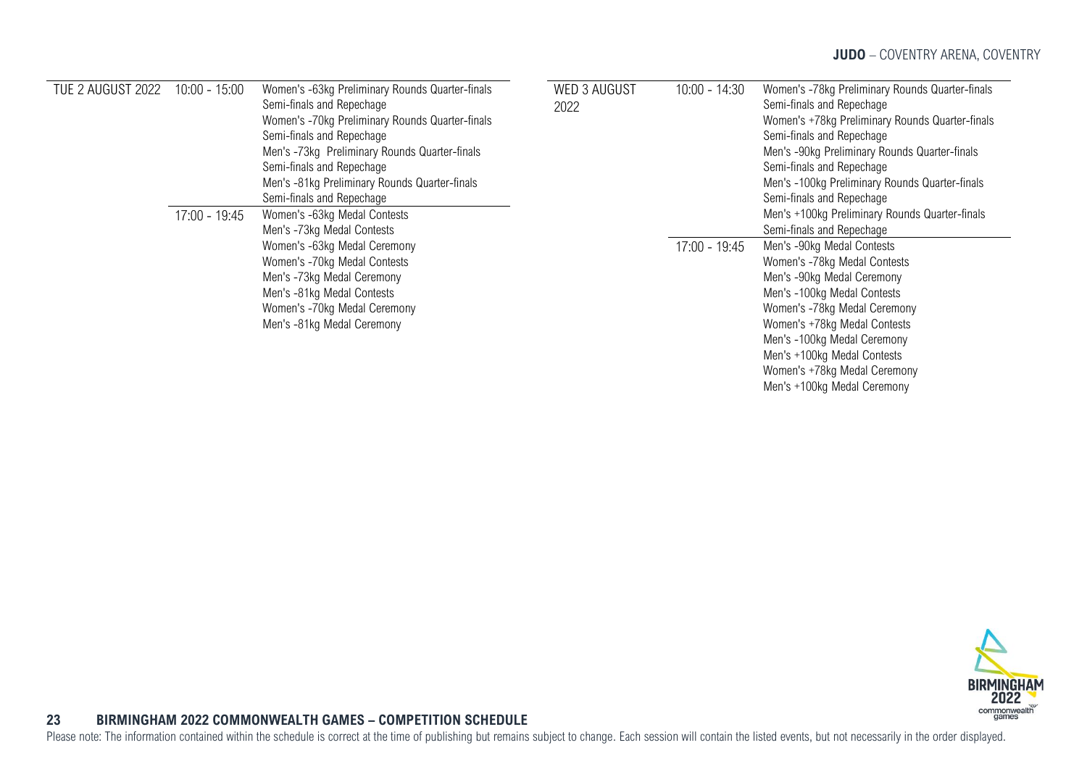Men's +100kg Medal Ceremony

| TUE 2 AUGUST 2022 | $10:00 - 15:00$                                                                                                                                                                                                                                                         | Women's -63kg Preliminary Rounds Quarter-finals<br>Semi-finals and Repechage<br>Women's -70kg Preliminary Rounds Quarter-finals<br>Semi-finals and Repechage<br>Men's -73kg Preliminary Rounds Quarter-finals<br>Semi-finals and Repechage<br>Men's -81kg Preliminary Rounds Quarter-finals<br>Semi-finals and Repechage | <b>WED 3 AUGUST</b><br>2022 | $10:00 - 14:30$ | Women's -78kg Preliminary Rounds Quarter-finals<br>Semi-finals and Repechage<br>Women's +78kg Preliminary Rounds Quarter-finals<br>Semi-finals and Repechage<br>Men's -90kg Preliminary Rounds Quarter-finals<br>Semi-finals and Repechage<br>Men's -100kg Preliminary Rounds Quarter-finals<br>Semi-finals and Repechage<br>Men's +100kg Preliminary Rounds Quarter-finals<br>Semi-finals and Repechage |
|-------------------|-------------------------------------------------------------------------------------------------------------------------------------------------------------------------------------------------------------------------------------------------------------------------|--------------------------------------------------------------------------------------------------------------------------------------------------------------------------------------------------------------------------------------------------------------------------------------------------------------------------|-----------------------------|-----------------|----------------------------------------------------------------------------------------------------------------------------------------------------------------------------------------------------------------------------------------------------------------------------------------------------------------------------------------------------------------------------------------------------------|
|                   | $17:00 - 19:45$<br>Women's -63kg Medal Contests<br>Men's -73kg Medal Contests<br>Women's -63kg Medal Ceremony<br>Women's -70kg Medal Contests<br>Men's -73kg Medal Ceremony<br>Men's -81kg Medal Contests<br>Women's -70kg Medal Ceremony<br>Men's -81kg Medal Ceremony |                                                                                                                                                                                                                                                                                                                          |                             |                 |                                                                                                                                                                                                                                                                                                                                                                                                          |
|                   |                                                                                                                                                                                                                                                                         |                                                                                                                                                                                                                                                                                                                          |                             | $17:00 - 19:45$ | Men's -90kg Medal Contests<br>Women's -78kg Medal Contests<br>Men's -90kg Medal Ceremony<br>Men's -100kg Medal Contests<br>Women's -78kg Medal Ceremony<br>Women's +78kg Medal Contests<br>Men's -100kg Medal Ceremony<br>Men's +100kg Medal Contests<br>Women's +78kg Medal Ceremony                                                                                                                    |



### <span id="page-23-0"></span>**23 BIRMINGHAM 2022 COMMONWEALTH GAMES – COMPETITION SCHEDULE**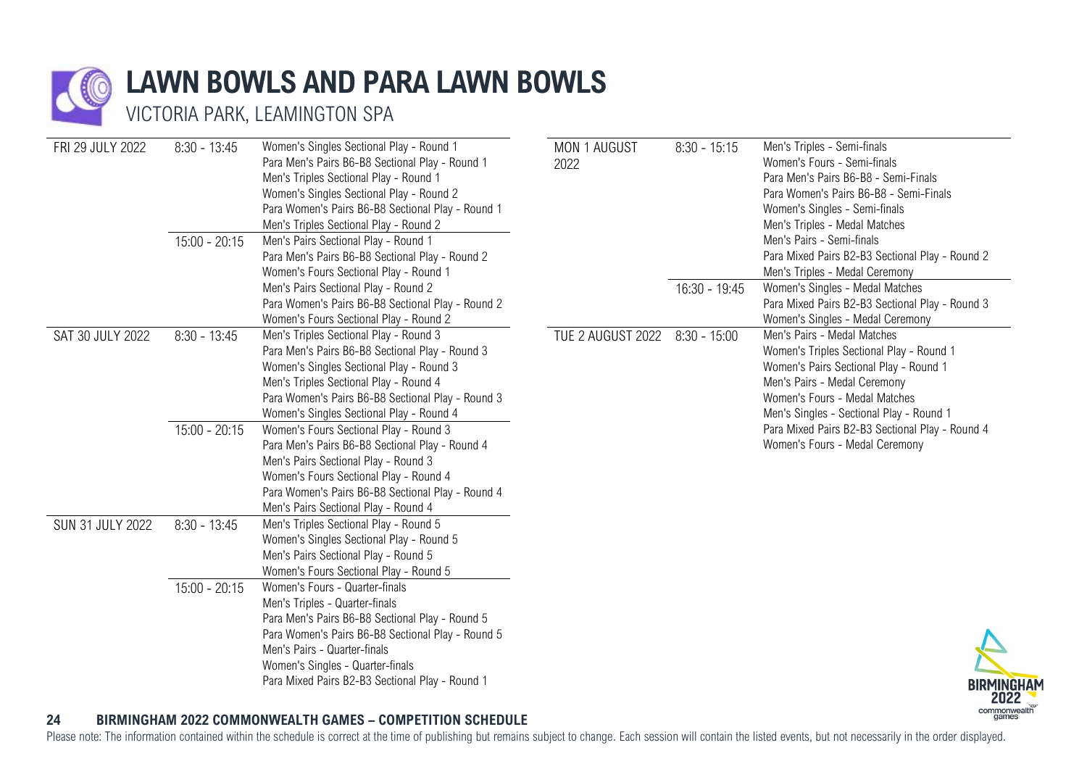

## **LAWN BOWLS AND PARA LAWN BOWLS**

VICTORIA PARK, LEAMINGTON SPA

| FRI 29 JULY 2022 | $8:30 - 13:45$  | Women's Singles Sectional Play - Round 1<br>Para Men's Pairs B6-B8 Sectional Play - Round 1<br>Men's Triples Sectional Play - Round 1<br>Women's Singles Sectional Play - Round 2<br>Para Women's Pairs B6-B8 Sectional Play - Round 1<br>Men's Triples Sectional Play - Round 2                | MON 1 AUGUST<br>2022 | $8:30 - 15:15$  | Men's Triples - Semi-finals<br>Women's Fours - Semi-finals<br>Para Men's Pairs B6-B8 - Semi-Finals<br>Para Women's Pairs B6-B8 - Semi-Finals<br>Women's Singles - Semi-finals<br>Men's Triples - Medal Matches                 |
|------------------|-----------------|-------------------------------------------------------------------------------------------------------------------------------------------------------------------------------------------------------------------------------------------------------------------------------------------------|----------------------|-----------------|--------------------------------------------------------------------------------------------------------------------------------------------------------------------------------------------------------------------------------|
|                  | $15:00 - 20:15$ | Men's Pairs Sectional Play - Round 1<br>Para Men's Pairs B6-B8 Sectional Play - Round 2<br>Women's Fours Sectional Play - Round 1                                                                                                                                                               |                      |                 | Men's Pairs - Semi-finals<br>Para Mixed Pairs B2-B3 Sectional Play - Round 2<br>Men's Triples - Medal Ceremony                                                                                                                 |
|                  |                 | Men's Pairs Sectional Play - Round 2<br>Para Women's Pairs B6-B8 Sectional Play - Round 2<br>Women's Fours Sectional Play - Round 2                                                                                                                                                             |                      | $16:30 - 19:45$ | Women's Singles - Medal Matches<br>Para Mixed Pairs B2-B3 Sectional Play - Round 3<br>Women's Singles - Medal Ceremony                                                                                                         |
| SAT 30 JULY 2022 | $8:30 - 13:45$  | Men's Triples Sectional Play - Round 3<br>Para Men's Pairs B6-B8 Sectional Play - Round 3<br>Women's Singles Sectional Play - Round 3<br>Men's Triples Sectional Play - Round 4<br>Para Women's Pairs B6-B8 Sectional Play - Round 3<br>Women's Singles Sectional Play - Round 4                | TUE 2 AUGUST 2022    | $8:30 - 15:00$  | Men's Pairs - Medal Matches<br>Women's Triples Sectional Play - Round 1<br>Women's Pairs Sectional Play - Round 1<br>Men's Pairs - Medal Ceremony<br>Women's Fours - Medal Matches<br>Men's Singles - Sectional Play - Round 1 |
|                  | $15:00 - 20:15$ | Women's Fours Sectional Play - Round 3<br>Para Men's Pairs B6-B8 Sectional Play - Round 4<br>Men's Pairs Sectional Play - Round 3<br>Women's Fours Sectional Play - Round 4<br>Para Women's Pairs B6-B8 Sectional Play - Round 4<br>Men's Pairs Sectional Play - Round 4                        |                      |                 | Para Mixed Pairs B2-B3 Sectional Play - Round 4<br>Women's Fours - Medal Ceremony                                                                                                                                              |
| SUN 31 JULY 2022 | $8:30 - 13:45$  | Men's Triples Sectional Play - Round 5<br>Women's Singles Sectional Play - Round 5<br>Men's Pairs Sectional Play - Round 5<br>Women's Fours Sectional Play - Round 5                                                                                                                            |                      |                 |                                                                                                                                                                                                                                |
|                  | $15:00 - 20:15$ | Women's Fours - Quarter-finals<br>Men's Triples - Quarter-finals<br>Para Men's Pairs B6-B8 Sectional Play - Round 5<br>Para Women's Pairs B6-B8 Sectional Play - Round 5<br>Men's Pairs - Quarter-finals<br>Women's Singles - Quarter-finals<br>Para Mixed Pairs B2-B3 Sectional Play - Round 1 |                      |                 | BIRMINGHAM<br>2022                                                                                                                                                                                                             |

### **24 BIRMINGHAM 2022 COMMONWEALTH GAMES – COMPETITION SCHEDULE**

Please note: The information contained within the schedule is correct at the time of publishing but remains subject to change. Each session will contain the listed events, but not necessarily in the order displayed.

commonwealth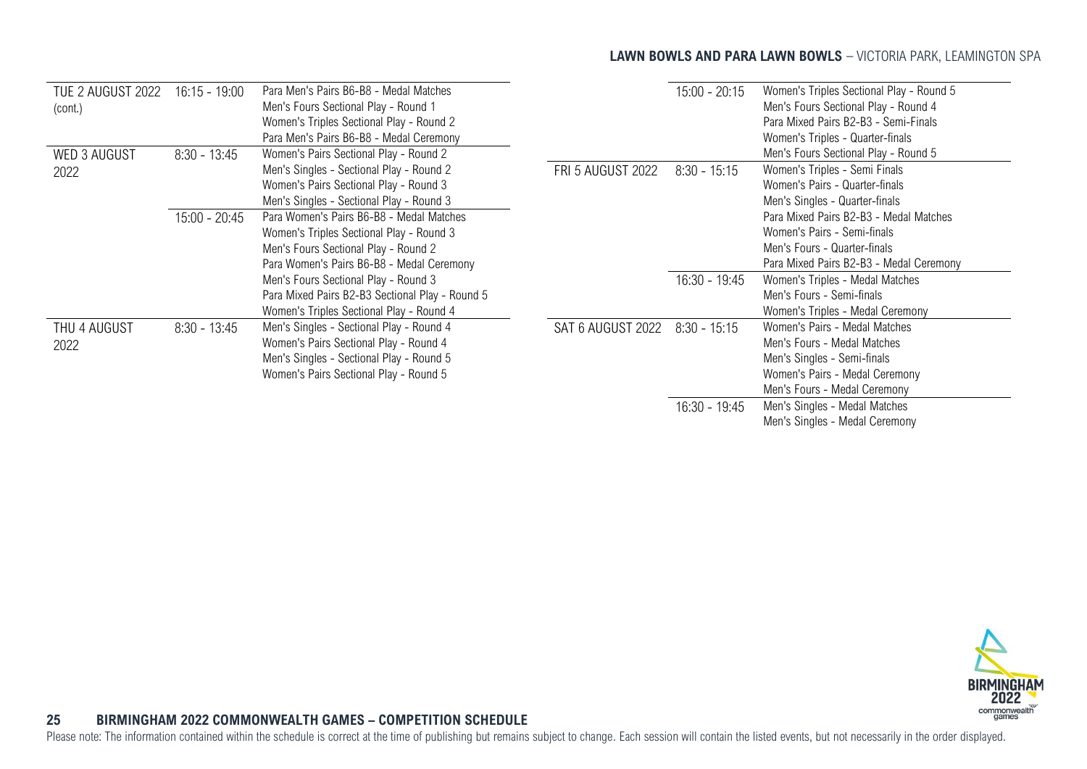### **LAWN BOWLS AND PARA LAWN BOWLS** - VICTORIA PARK, LEAMINGTON SPA

| TUE 2 AUGUST 2022   | $16:15 - 19:00$ | Para Men's Pairs B6-B8 - Medal Matches          |                          | $15:00 - 20:15$ | Women's Triples Sectional Play - Round 5 |
|---------------------|-----------------|-------------------------------------------------|--------------------------|-----------------|------------------------------------------|
| (cont.)             |                 | Men's Fours Sectional Play - Round 1            |                          |                 | Men's Fours Sectional Play - Round 4     |
|                     |                 | Women's Triples Sectional Play - Round 2        |                          |                 | Para Mixed Pairs B2-B3 - Semi-Finals     |
|                     |                 | Para Men's Pairs B6-B8 - Medal Ceremony         |                          |                 | Women's Triples - Quarter-finals         |
| <b>WED 3 AUGUST</b> | $8:30 - 13:45$  | Women's Pairs Sectional Play - Round 2          |                          |                 | Men's Fours Sectional Play - Round 5     |
| 2022                |                 | Men's Singles - Sectional Play - Round 2        | <b>FRI 5 AUGUST 2022</b> | $8:30 - 15:15$  | Women's Triples - Semi Finals            |
|                     |                 | Women's Pairs Sectional Play - Round 3          |                          |                 | Women's Pairs - Quarter-finals           |
|                     |                 | Men's Singles - Sectional Play - Round 3        |                          |                 | Men's Singles - Quarter-finals           |
|                     | $15:00 - 20:45$ | Para Women's Pairs B6-B8 - Medal Matches        |                          |                 | Para Mixed Pairs B2-B3 - Medal Matches   |
|                     |                 | Women's Triples Sectional Play - Round 3        |                          |                 | Women's Pairs - Semi-finals              |
|                     |                 | Men's Fours Sectional Play - Round 2            |                          |                 | Men's Fours - Quarter-finals             |
|                     |                 | Para Women's Pairs B6-B8 - Medal Ceremony       |                          |                 | Para Mixed Pairs B2-B3 - Medal Ceremony  |
|                     |                 | Men's Fours Sectional Play - Round 3            |                          | $16:30 - 19:45$ | Women's Triples - Medal Matches          |
|                     |                 | Para Mixed Pairs B2-B3 Sectional Play - Round 5 |                          |                 | Men's Fours - Semi-finals                |
|                     |                 | Women's Triples Sectional Play - Round 4        |                          |                 | Women's Triples - Medal Ceremony         |
| THU 4 AUGUST        | $8:30 - 13:45$  | Men's Singles - Sectional Play - Round 4        | SAT 6 AUGUST 2022        | $8:30 - 15:15$  | Women's Pairs - Medal Matches            |
| 2022                |                 | Women's Pairs Sectional Play - Round 4          |                          |                 | Men's Fours - Medal Matches              |
|                     |                 | Men's Singles - Sectional Play - Round 5        |                          |                 | Men's Singles - Semi-finals              |
|                     |                 | Women's Pairs Sectional Play - Round 5          |                          |                 | Women's Pairs - Medal Ceremony           |
|                     |                 |                                                 |                          |                 | Men's Fours - Medal Ceremony             |
|                     |                 |                                                 |                          | $16:30 - 19:45$ | Men's Singles - Medal Matches            |
|                     |                 |                                                 |                          |                 | Men's Singles - Medal Ceremony           |



### <span id="page-25-0"></span>**25 BIRMINGHAM 2022 COMMONWEALTH GAMES – COMPETITION SCHEDULE**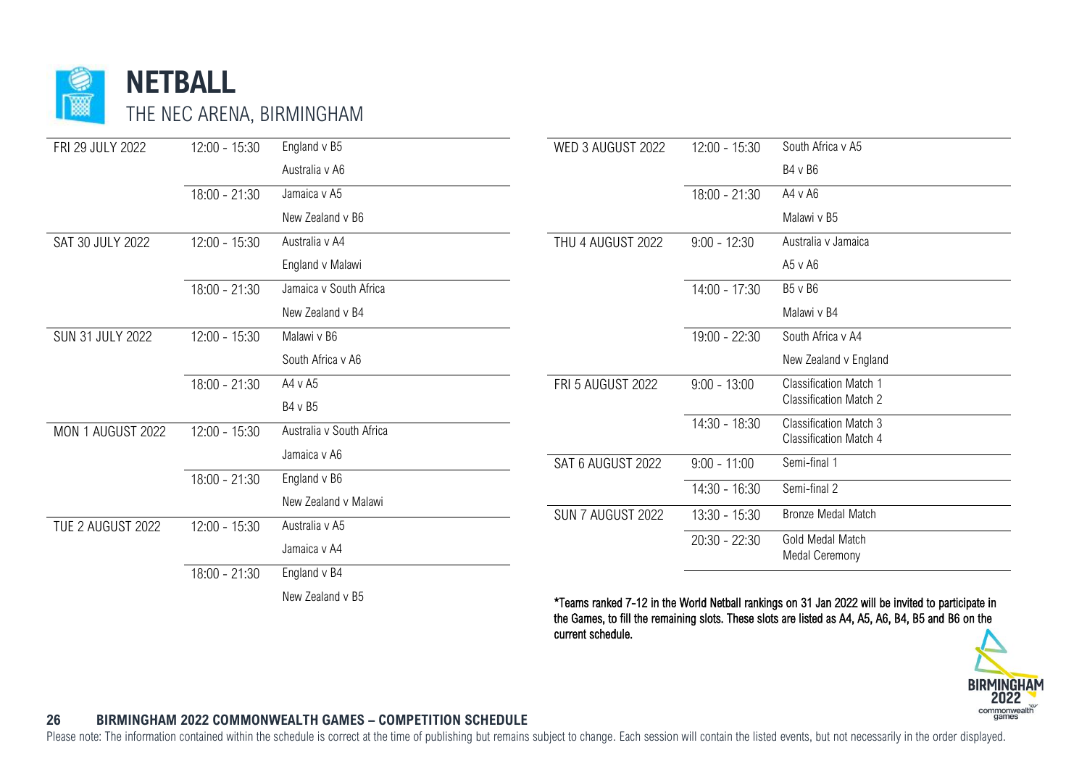

| FRI 29 JULY 2022  | $12:00 - 15:30$ | England v B5             | WED 3 AUGUST 2022        | $12:00 - 15:30$ | South Africa v A5                                                                                    |
|-------------------|-----------------|--------------------------|--------------------------|-----------------|------------------------------------------------------------------------------------------------------|
|                   |                 | Australia v A6           |                          |                 | B4 v B6                                                                                              |
|                   | 18:00 - 21:30   | Jamaica v A5             |                          | $18:00 - 21:30$ | $A4 \vee A6$                                                                                         |
|                   |                 | New Zealand v B6         |                          |                 | Malawi v B5                                                                                          |
| SAT 30 JULY 2022  | 12:00 - 15:30   | Australia v A4           | THU 4 AUGUST 2022        | $9:00 - 12:30$  | Australia v Jamaica                                                                                  |
|                   |                 | England v Malawi         |                          |                 | A5 v A6                                                                                              |
|                   | $18:00 - 21:30$ | Jamaica v South Africa   |                          | $14:00 - 17:30$ | B5 v B6                                                                                              |
|                   |                 | New Zealand v B4         |                          |                 | Malawi v B4                                                                                          |
| SUN 31 JULY 2022  | $12:00 - 15:30$ | Malawi v B6              |                          | $19:00 - 22:30$ | South Africa v A4                                                                                    |
|                   |                 | South Africa v A6        |                          |                 | New Zealand v England                                                                                |
|                   | $18:00 - 21:30$ | A4 v A5                  | <b>FRI 5 AUGUST 2022</b> | $9:00 - 13:00$  | <b>Classification Match 1</b>                                                                        |
|                   |                 | B4 v B5                  |                          |                 | <b>Classification Match 2</b>                                                                        |
| MON 1 AUGUST 2022 | $12:00 - 15:30$ | Australia v South Africa |                          | $14:30 - 18:30$ | <b>Classification Match 3</b><br><b>Classification Match 4</b>                                       |
|                   |                 | Jamaica v A6             | SAT 6 AUGUST 2022        | $9:00 - 11:00$  | Semi-final 1                                                                                         |
|                   | 18:00 - 21:30   | England v B6             |                          |                 |                                                                                                      |
|                   |                 | New Zealand v Malawi     |                          | 14:30 - 16:30   | Semi-final 2                                                                                         |
| TUE 2 AUGUST 2022 | $12:00 - 15:30$ | Australia v A5           | SUN 7 AUGUST 2022        | 13:30 - 15:30   | Bronze Medal Match                                                                                   |
|                   |                 |                          |                          | $20:30 - 22:30$ | Gold Medal Match                                                                                     |
|                   |                 | Jamaica v A4             |                          |                 | Medal Ceremony                                                                                       |
|                   | $18:00 - 21:30$ | England v B4             |                          |                 |                                                                                                      |
|                   |                 | New Zealand v B5         |                          |                 | *Taxaas aastas d. 7, 40 in the Wadd Mathell aastase on 04 Jan 0000 cill he in died is seedisingin in |

\*Teams ranked 7-12 in the World Netball rankings on 31 Jan 2022 will be invited to participate in the Games, to fill the remaining slots. These slots are listed as A4, A5, A6, B4, B5 and B6 on the current schedule.



#### **26 BIRMINGHAM 2022 COMMONWEALTH GAMES – COMPETITION SCHEDULE**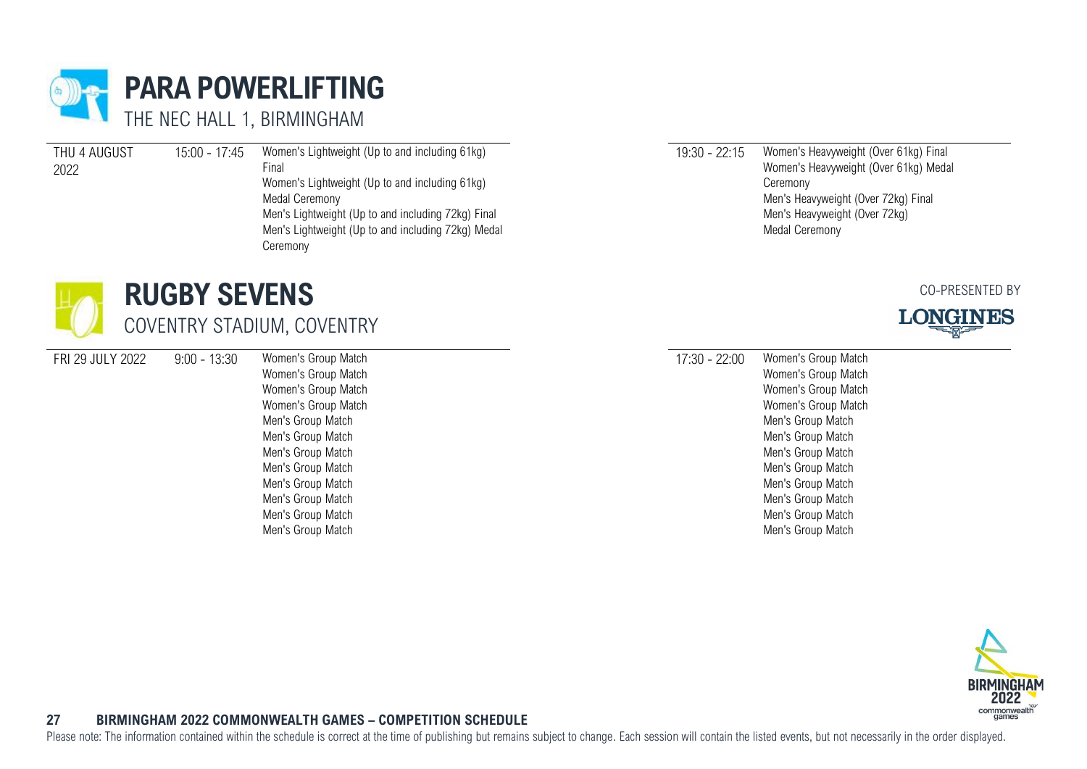<span id="page-27-0"></span>

| THU 4 AUGUST | 15:00 - 17:45 | Women's Lightweight (Up to and including 61kg)     |
|--------------|---------------|----------------------------------------------------|
| 2022         |               | Final                                              |
|              |               | Women's Lightweight (Up to and including 61kg)     |
|              |               | Medal Ceremony                                     |
|              |               | Men's Lightweight (Up to and including 72kg) Final |
|              |               | Men's Lightweight (Up to and including 72kg) Medal |
|              |               | Ceremony                                           |

- <span id="page-27-1"></span>**RUGBY SEVENS** COVENTRY STADIUM, COVENTRY
- FRI 29 JULY 2022 9:00 13:30 Women's Group Match

Women's Group Match Women's Group Match Women's Group Match Men's Group Match Men's Group Match Men's Group Match Men's Group Match Men's Group Match Men's Group Match Men's Group Match Men's Group Match

19:30 - 22:15 Women's Heavyweight (Over 61kg) Final Women's Heavyweight (Over 61kg) Medal Ceremony Men's Heavyweight (Over 72kg) Final Men's Heavyweight (Over 72kg) Medal Ceremony

#### CO-PRESENTED BY



17:30 - 22:00 Women's Group Match Women's Group Match Women's Group Match Women's Group Match Men's Group Match Men's Group Match Men's Group Match Men's Group Match Men's Group Match Men's Group Match Men's Group Match Men's Group Match



### **27 BIRMINGHAM 2022 COMMONWEALTH GAMES – COMPETITION SCHEDULE**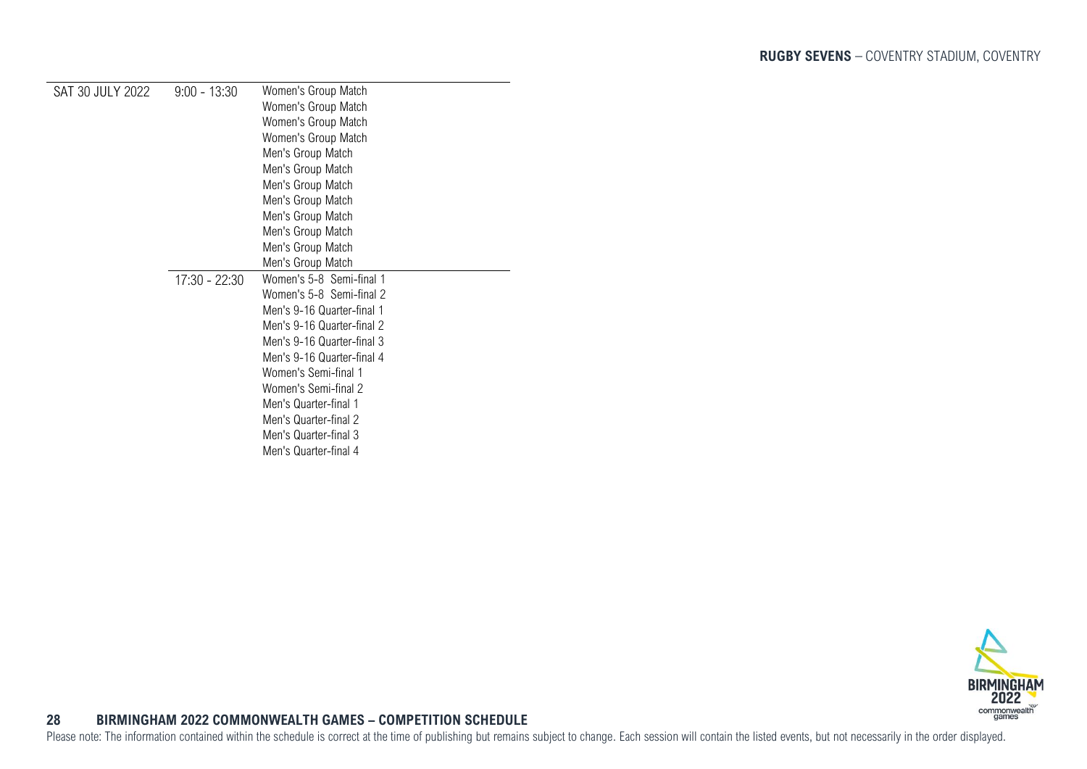| SAT 30 JULY 2022 | $9:00 - 13:30$ | Women's Group Match        |
|------------------|----------------|----------------------------|
|                  |                | Women's Group Match        |
|                  |                | Women's Group Match        |
|                  |                | Women's Group Match        |
|                  |                | Men's Group Match          |
|                  |                | Men's Group Match          |
|                  |                | Men's Group Match          |
|                  |                | Men's Group Match          |
|                  |                | Men's Group Match          |
|                  |                | Men's Group Match          |
|                  |                | Men's Group Match          |
|                  |                | Men's Group Match          |
|                  | 17:30 - 22:30  | Women's 5-8 Semi-final 1   |
|                  |                | Women's 5-8 Semi-final 2   |
|                  |                | Men's 9-16 Quarter-final 1 |
|                  |                | Men's 9-16 Quarter-final 2 |
|                  |                | Men's 9-16 Quarter-final 3 |
|                  |                | Men's 9-16 Quarter-final 4 |
|                  |                | Women's Semi-final 1       |
|                  |                | Women's Semi-final 2       |
|                  |                | Men's Quarter-final 1      |
|                  |                | Men's Quarter-final 2      |
|                  |                | Men's Quarter-final 3      |
|                  |                | Men's Quarter-final 4      |

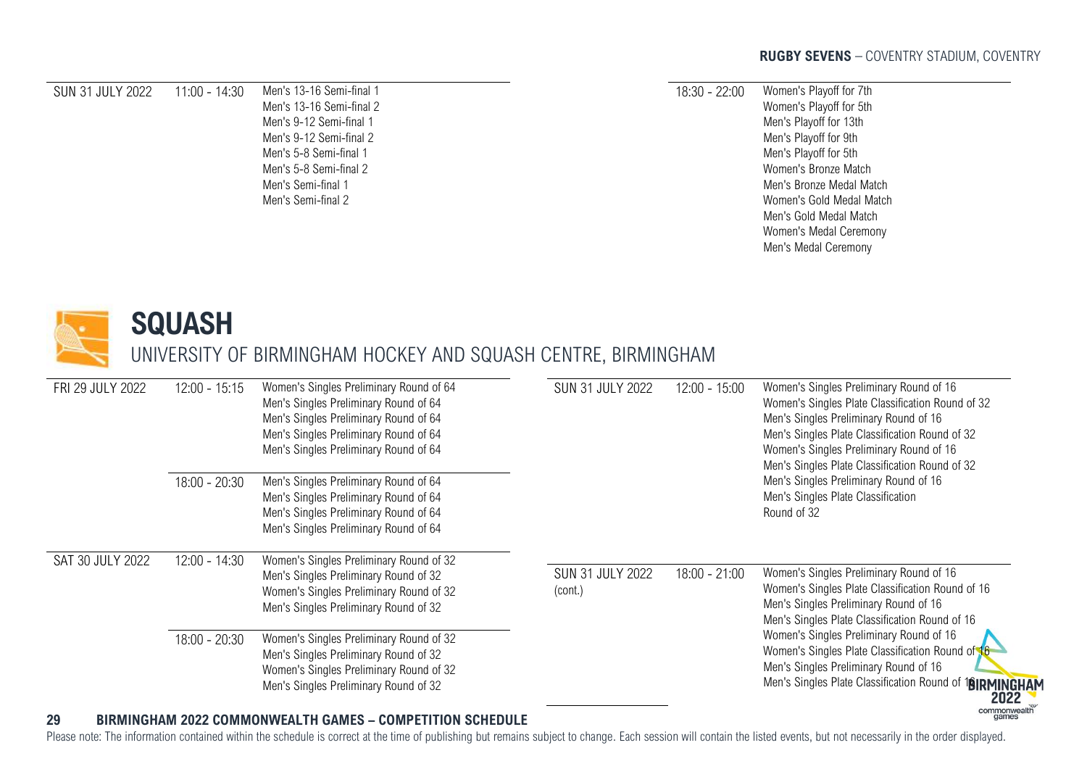#### SUN 31 JULY 2022 11:00 - 14:30 Men's 13-16 Semi-final 1

Men's 13-16 Semi-final 2 Men's 9-12 Semi-final 1 Men's 9-12 Semi-final 2 Men's 5-8 Semi-final 1 Men's 5-8 Semi-final 2 Men's Semi-final 1 Men's Semi-final 2

#### 18:30 - 22:00 Women's Playoff for 7th Women's Playoff for 5th Men's Playoff for 13th Men's Playoff for 9th Men's Playoff for 5th Women's Bronze Match Men's Bronze Medal Match Women's Gold Medal Match Men's Gold Medal Match Women's Medal Ceremony Men's Medal Ceremony



### <span id="page-29-0"></span>**SQUASH**

UNIVERSITY OF BIRMINGHAM HOCKEY AND SQUASH CENTRE, BIRMINGHAM

| FRI 29 JULY 2022 | $12:00 - 15:15$ | Women's Singles Preliminary Round of 64<br>Men's Singles Preliminary Round of 64<br>Men's Singles Preliminary Round of 64<br>Men's Singles Preliminary Round of 64<br>Men's Singles Preliminary Round of 64 | <b>SUN 31 JULY 2022</b>            | $12:00 - 15:00$ | Women's Singles Preliminary Round of 16<br>Women's Singles Plate Classification Round of 32<br>Men's Singles Preliminary Round of 16<br>Men's Singles Plate Classification Round of 32<br>Women's Singles Preliminary Round of 16<br>Men's Singles Plate Classification Round of 32 |
|------------------|-----------------|-------------------------------------------------------------------------------------------------------------------------------------------------------------------------------------------------------------|------------------------------------|-----------------|-------------------------------------------------------------------------------------------------------------------------------------------------------------------------------------------------------------------------------------------------------------------------------------|
|                  | $18:00 - 20:30$ | Men's Singles Preliminary Round of 64<br>Men's Singles Preliminary Round of 64<br>Men's Singles Preliminary Round of 64<br>Men's Singles Preliminary Round of 64                                            |                                    |                 | Men's Singles Preliminary Round of 16<br>Men's Singles Plate Classification<br>Round of 32                                                                                                                                                                                          |
| SAT 30 JULY 2022 | $12:00 - 14:30$ | Women's Singles Preliminary Round of 32<br>Men's Singles Preliminary Round of 32<br>Women's Singles Preliminary Round of 32<br>Men's Singles Preliminary Round of 32                                        | <b>SUN 31 JULY 2022</b><br>(cont.) | $18:00 - 21:00$ | Women's Singles Preliminary Round of 16<br>Women's Singles Plate Classification Round of 16<br>Men's Singles Preliminary Round of 16<br>Men's Singles Plate Classification Round of 16                                                                                              |
|                  | $18:00 - 20:30$ | Women's Singles Preliminary Round of 32<br>Men's Singles Preliminary Round of 32<br>Women's Singles Preliminary Round of 32<br>Men's Singles Preliminary Round of 32                                        |                                    |                 | Women's Singles Preliminary Round of 16<br>Women's Singles Plate Classification Round of 16<br>Men's Singles Preliminary Round of 16<br>Men's Singles Plate Classification Round of<br><b>18IRMINGHAI</b><br>2022<br>commonwealth                                                   |

### **29 BIRMINGHAM 2022 COMMONWEALTH GAMES – COMPETITION SCHEDULE**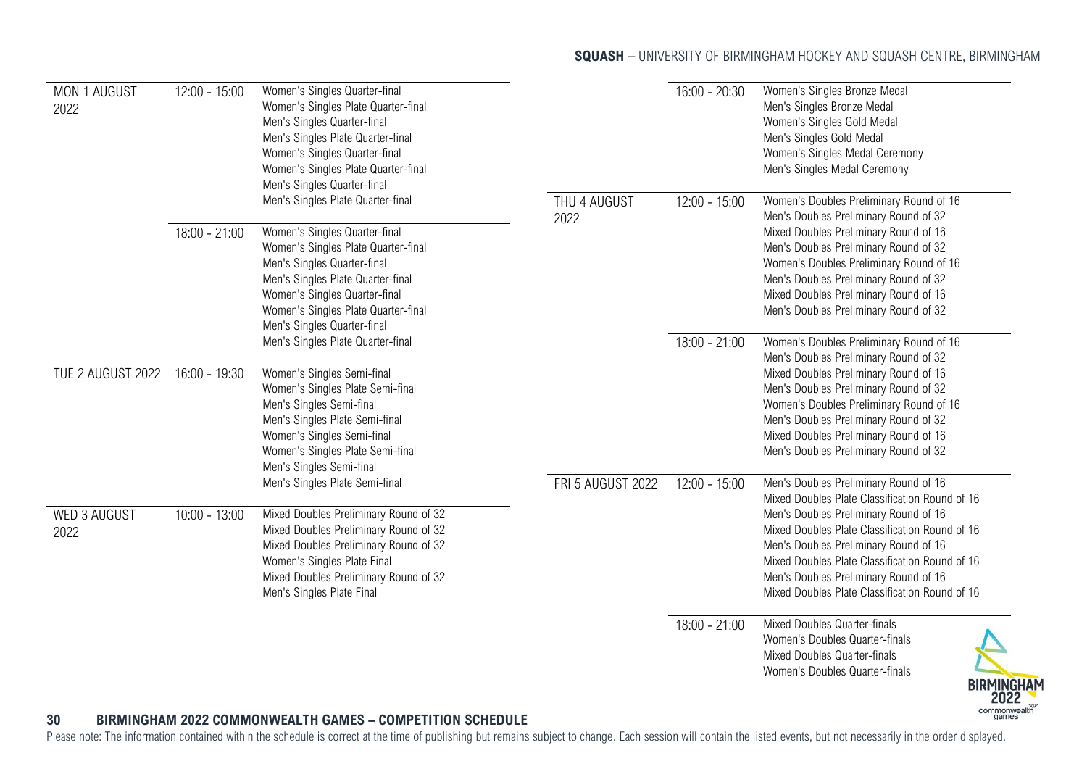### **SQUASH** - UNIVERSITY OF BIRMINGHAM HOCKEY AND SQUASH CENTRE, BIRMINGHAM

| MON 1 AUGUST<br>2022        | $12:00 - 15:00$ | Women's Singles Quarter-final<br>Women's Singles Plate Quarter-final<br>Men's Singles Quarter-final<br>Men's Singles Plate Quarter-final<br>Women's Singles Quarter-final<br>Women's Singles Plate Quarter-final<br>Men's Singles Quarter-final                                      |                      | $16:00 - 20:30$ | Women's Singles Bronze Medal<br>Men's Singles Bronze Medal<br>Women's Singles Gold Medal<br>Men's Singles Gold Medal<br>Women's Singles Medal Ceremony<br>Men's Singles Medal Ceremony                                                                                                                                                   |
|-----------------------------|-----------------|--------------------------------------------------------------------------------------------------------------------------------------------------------------------------------------------------------------------------------------------------------------------------------------|----------------------|-----------------|------------------------------------------------------------------------------------------------------------------------------------------------------------------------------------------------------------------------------------------------------------------------------------------------------------------------------------------|
|                             | $18:00 - 21:00$ | Men's Singles Plate Quarter-final<br>Women's Singles Quarter-final<br>Women's Singles Plate Quarter-final<br>Men's Singles Quarter-final<br>Men's Singles Plate Quarter-final<br>Women's Singles Quarter-final<br>Women's Singles Plate Quarter-final<br>Men's Singles Quarter-final | THU 4 AUGUST<br>2022 | $12:00 - 15:00$ | Women's Doubles Preliminary Round of 16<br>Men's Doubles Preliminary Round of 32<br>Mixed Doubles Preliminary Round of 16<br>Men's Doubles Preliminary Round of 32<br>Women's Doubles Preliminary Round of 16<br>Men's Doubles Preliminary Round of 32<br>Mixed Doubles Preliminary Round of 16<br>Men's Doubles Preliminary Round of 32 |
|                             |                 | Men's Singles Plate Quarter-final                                                                                                                                                                                                                                                    |                      | $18:00 - 21:00$ | Women's Doubles Preliminary Round of 16<br>Men's Doubles Preliminary Round of 32                                                                                                                                                                                                                                                         |
| TUE 2 AUGUST 2022           | $16:00 - 19:30$ | Women's Singles Semi-final<br>Women's Singles Plate Semi-final<br>Men's Singles Semi-final<br>Men's Singles Plate Semi-final<br>Women's Singles Semi-final<br>Women's Singles Plate Semi-final<br>Men's Singles Semi-final                                                           |                      |                 | Mixed Doubles Preliminary Round of 16<br>Men's Doubles Preliminary Round of 32<br>Women's Doubles Preliminary Round of 16<br>Men's Doubles Preliminary Round of 32<br>Mixed Doubles Preliminary Round of 16<br>Men's Doubles Preliminary Round of 32                                                                                     |
|                             |                 | Men's Singles Plate Semi-final                                                                                                                                                                                                                                                       | FRI 5 AUGUST 2022    | $12:00 - 15:00$ | Men's Doubles Preliminary Round of 16<br>Mixed Doubles Plate Classification Round of 16                                                                                                                                                                                                                                                  |
| <b>WED 3 AUGUST</b><br>2022 | $10:00 - 13:00$ | Mixed Doubles Preliminary Round of 32<br>Mixed Doubles Preliminary Round of 32<br>Mixed Doubles Preliminary Round of 32<br>Women's Singles Plate Final<br>Mixed Doubles Preliminary Round of 32<br>Men's Singles Plate Final                                                         |                      |                 | Men's Doubles Preliminary Round of 16<br>Mixed Doubles Plate Classification Round of 16<br>Men's Doubles Preliminary Round of 16<br>Mixed Doubles Plate Classification Round of 16<br>Men's Doubles Preliminary Round of 16<br>Mixed Doubles Plate Classification Round of 16                                                            |
| 30                          |                 | <b>BIRMINGHAM 2022 COMMONWEALTH GAMES - COMPETITION SCHEDULE</b>                                                                                                                                                                                                                     |                      | $18:00 - 21:00$ | Mixed Doubles Quarter-finals<br>Women's Doubles Quarter-finals<br>Mixed Doubles Quarter-finals<br>Women's Doubles Quarter-finals<br><b>BIRMINGHAM</b><br>2022<br>commonwealth<br>aames                                                                                                                                                   |

### **30 BIRMINGHAM 2022 COMMONWEALTH GAMES – COMPETITION SCHEDULE**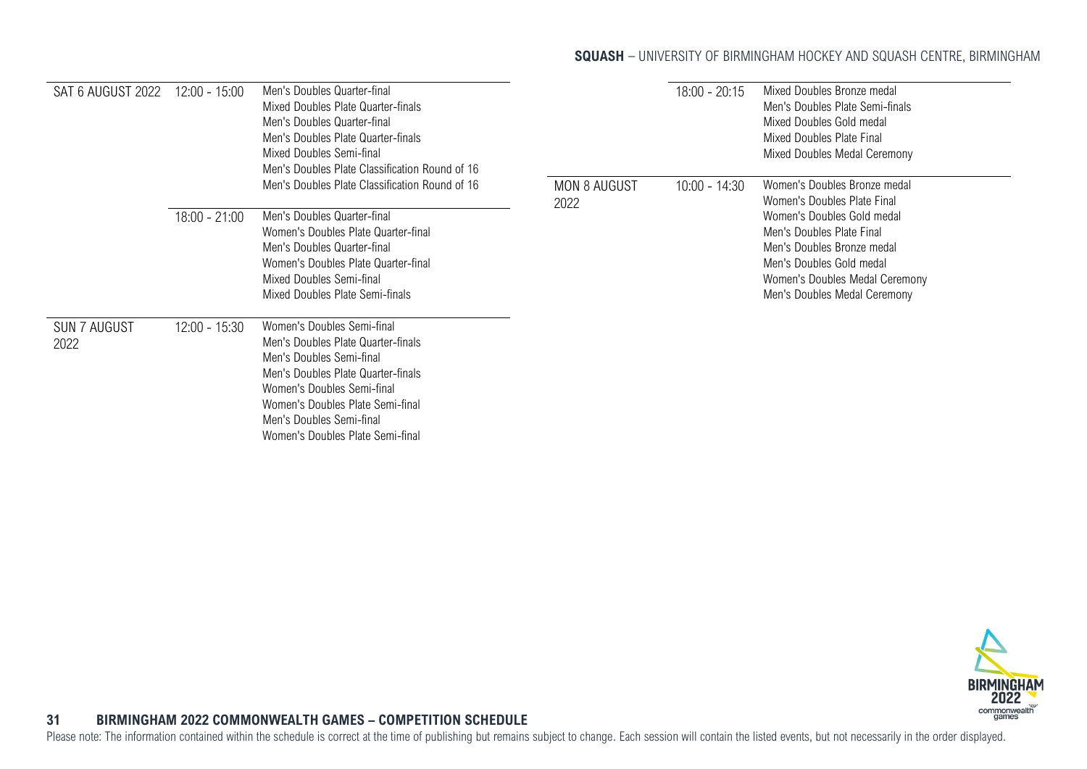### **SQUASH** - UNIVERSITY OF BIRMINGHAM HOCKEY AND SQUASH CENTRE, BIRMINGHAM

| SAT 6 AUGUST 2022           | $12:00 - 15:00$ | Men's Doubles Quarter-final<br>Mixed Doubles Plate Quarter-finals<br>Men's Doubles Quarter-final<br>Men's Doubles Plate Quarter-finals<br>Mixed Doubles Semi-final<br>Men's Doubles Plate Classification Round of 16                                                 |                     | $18:00 - 20:15$ | Mixed Doubles Bronze medal<br>Men's Doubles Plate Semi-finals<br>Mixed Doubles Gold medal<br>Mixed Doubles Plate Final<br>Mixed Doubles Medal Ceremony                              |
|-----------------------------|-----------------|----------------------------------------------------------------------------------------------------------------------------------------------------------------------------------------------------------------------------------------------------------------------|---------------------|-----------------|-------------------------------------------------------------------------------------------------------------------------------------------------------------------------------------|
|                             |                 | Men's Doubles Plate Classification Round of 16                                                                                                                                                                                                                       | <b>MON 8 AUGUST</b> | $10:00 - 14:30$ | Women's Doubles Bronze medal<br>Women's Doubles Plate Final                                                                                                                         |
|                             | $18:00 - 21:00$ | Men's Doubles Quarter-final<br>Women's Doubles Plate Quarter-final<br>Men's Doubles Quarter-final<br>Women's Doubles Plate Quarter-final<br>Mixed Doubles Semi-final<br>Mixed Doubles Plate Semi-finals                                                              | 2022                |                 | Women's Doubles Gold medal<br>Men's Doubles Plate Final<br>Men's Doubles Bronze medal<br>Men's Doubles Gold medal<br>Women's Doubles Medal Ceremony<br>Men's Doubles Medal Ceremony |
| <b>SUN 7 AUGUST</b><br>2022 | $12:00 - 15:30$ | Women's Doubles Semi-final<br>Men's Doubles Plate Quarter-finals<br>Men's Doubles Semi-final<br>Men's Doubles Plate Quarter-finals<br>Women's Doubles Semi-final<br>Women's Doubles Plate Semi-final<br>Men's Doubles Semi-final<br>Women's Doubles Plate Semi-final |                     |                 |                                                                                                                                                                                     |



### <span id="page-31-0"></span>**31 BIRMINGHAM 2022 COMMONWEALTH GAMES – COMPETITION SCHEDULE**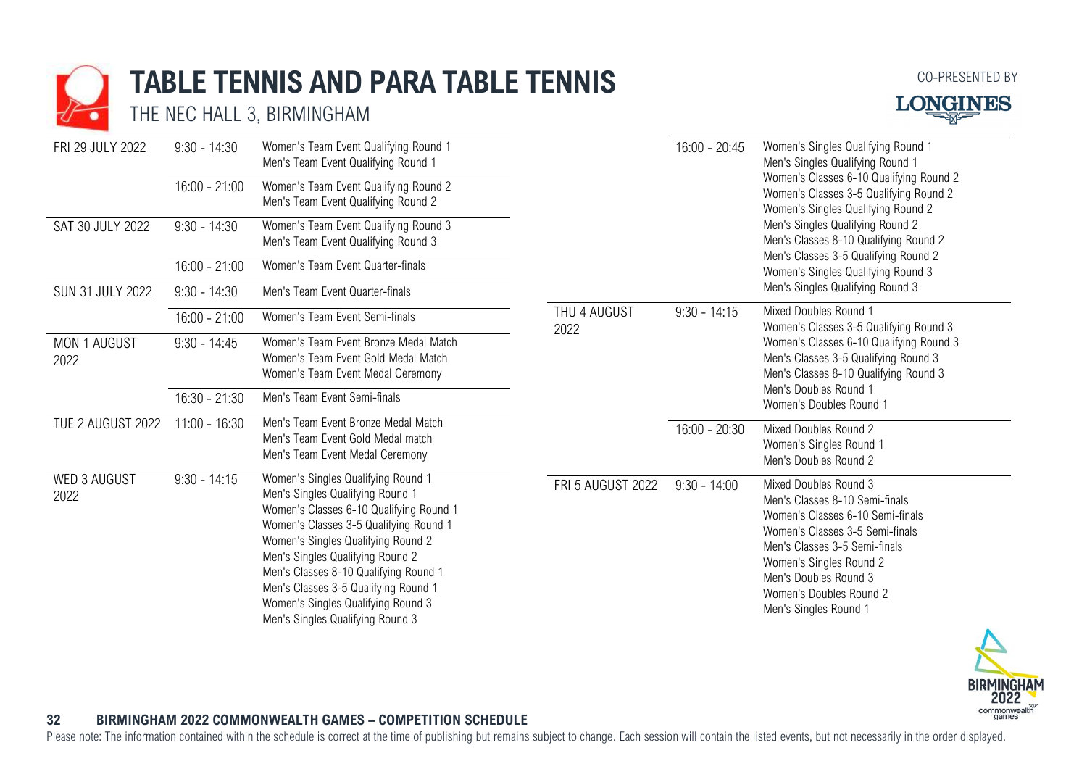# **TABLE TENNIS AND PARA TABLE TENNIS**

THE NEC HALL 3, BIRMINGHAM



| FRI 29 JULY 2022                     | $9:30 - 14:30$                                      | Women's Team Event Qualifying Round 1<br>Men's Team Event Qualifying Round 1                                                                                                                                                                                                                                                                                                                     |                      | $16:00 - 20:45$                                                                                                         | Women's Singles Qualifying Round 1<br>Men's Singles Qualifying Round 1                                                                                                                                                                                                  |
|--------------------------------------|-----------------------------------------------------|--------------------------------------------------------------------------------------------------------------------------------------------------------------------------------------------------------------------------------------------------------------------------------------------------------------------------------------------------------------------------------------------------|----------------------|-------------------------------------------------------------------------------------------------------------------------|-------------------------------------------------------------------------------------------------------------------------------------------------------------------------------------------------------------------------------------------------------------------------|
| SAT 30 JULY 2022<br>SUN 31 JULY 2022 | $16:00 - 21:00$                                     | Women's Team Event Qualifying Round 2<br>Men's Team Event Qualifying Round 2<br>Women's Team Event Qualifying Round 3<br>Men's Team Event Qualifying Round 3<br>Women's Team Event Quarter-finals<br>Men's Team Event Quarter-finals                                                                                                                                                             |                      | Women's Classes 6-10 Qualifying Round 2<br>Women's Classes 3-5 Qualifying Round 2<br>Women's Singles Qualifying Round 2 |                                                                                                                                                                                                                                                                         |
|                                      | $9:30 - 14:30$<br>$16:00 - 21:00$<br>$9:30 - 14:30$ |                                                                                                                                                                                                                                                                                                                                                                                                  |                      |                                                                                                                         | Men's Singles Qualifying Round 2<br>Men's Classes 8-10 Qualifying Round 2<br>Men's Classes 3-5 Qualifying Round 2<br>Women's Singles Qualifying Round 3<br>Men's Singles Qualifying Round 3                                                                             |
|                                      |                                                     |                                                                                                                                                                                                                                                                                                                                                                                                  |                      |                                                                                                                         |                                                                                                                                                                                                                                                                         |
|                                      |                                                     |                                                                                                                                                                                                                                                                                                                                                                                                  |                      |                                                                                                                         |                                                                                                                                                                                                                                                                         |
|                                      | $16:00 - 21:00$                                     | Women's Team Event Semi-finals                                                                                                                                                                                                                                                                                                                                                                   | THU 4 AUGUST<br>2022 | $9:30 - 14:15$                                                                                                          | Mixed Doubles Round 1<br>Women's Classes 3-5 Qualifying Round 3                                                                                                                                                                                                         |
| MON 1 AUGUST<br>2022                 | $9:30 - 14:45$                                      | Women's Team Event Bronze Medal Match<br>Women's Team Event Gold Medal Match<br>Women's Team Event Medal Ceremony                                                                                                                                                                                                                                                                                |                      |                                                                                                                         | Women's Classes 6-10 Qualifying Round 3<br>Men's Classes 3-5 Qualifying Round 3<br>Men's Classes 8-10 Qualifying Round 3<br>Men's Doubles Round 1<br>Women's Doubles Round 1                                                                                            |
|                                      | $16:30 - 21:30$                                     | Men's Team Event Semi-finals                                                                                                                                                                                                                                                                                                                                                                     |                      |                                                                                                                         |                                                                                                                                                                                                                                                                         |
| TUE 2 AUGUST 2022                    | $11:00 - 16:30$                                     | Men's Team Event Bronze Medal Match<br>Men's Team Event Gold Medal match<br>Men's Team Event Medal Ceremony                                                                                                                                                                                                                                                                                      |                      | 16:00 - 20:30                                                                                                           | Mixed Doubles Round 2<br>Women's Singles Round 1<br>Men's Doubles Round 2                                                                                                                                                                                               |
| WED 3 AUGUST<br>2022                 | $9:30 - 14:15$                                      | Women's Singles Qualifying Round 1<br>Men's Singles Qualifying Round 1<br>Women's Classes 6-10 Qualifying Round 1<br>Women's Classes 3-5 Qualifying Round 1<br>Women's Singles Qualifying Round 2<br>Men's Singles Qualifying Round 2<br>Men's Classes 8-10 Qualifying Round 1<br>Men's Classes 3-5 Qualifying Round 1<br>Women's Singles Qualifying Round 3<br>Men's Singles Qualifying Round 3 | FRI 5 AUGUST 2022    | $9:30 - 14:00$                                                                                                          | Mixed Doubles Round 3<br>Men's Classes 8-10 Semi-finals<br>Women's Classes 6-10 Semi-finals<br>Women's Classes 3-5 Semi-finals<br>Men's Classes 3-5 Semi-finals<br>Women's Singles Round 2<br>Men's Doubles Round 3<br>Women's Doubles Round 2<br>Men's Singles Round 1 |



### **32 BIRMINGHAM 2022 COMMONWEALTH GAMES – COMPETITION SCHEDULE**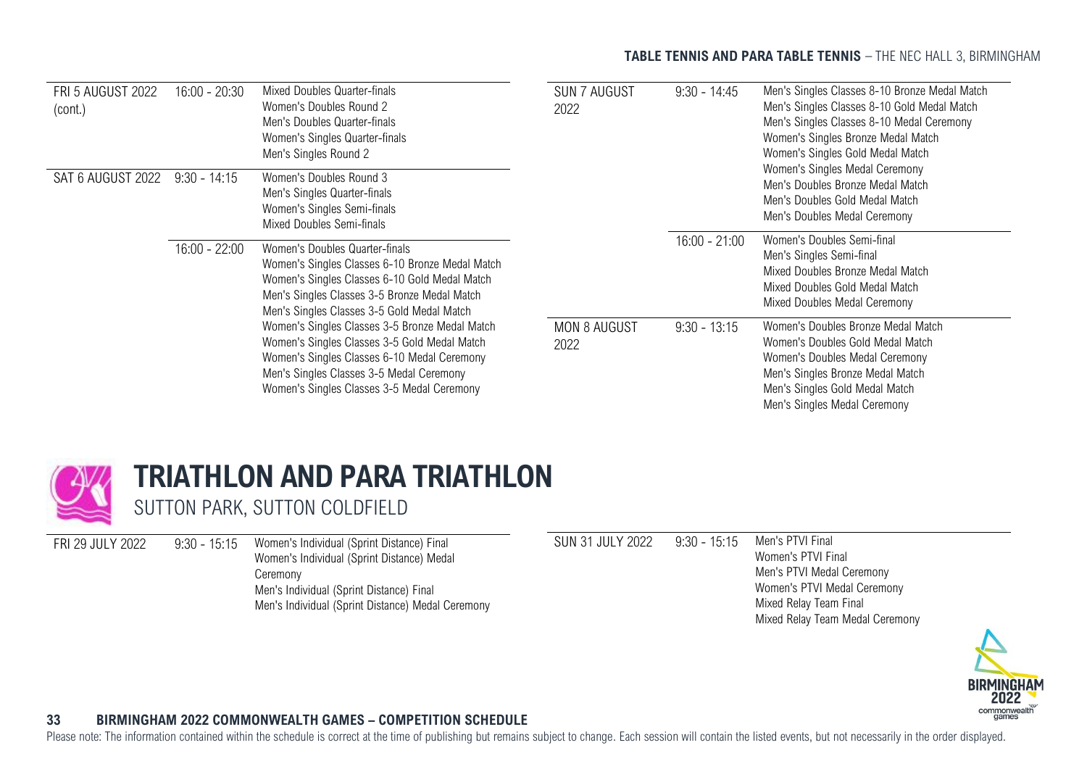### **TABLE TENNIS AND PARA TABLE TENNIS** - THE NEC HALL 3, BIRMINGHAM

| <b>FRI 5 AUGUST 2022</b><br>(cont.) | $16:00 - 20:30$ | Mixed Doubles Quarter-finals<br>Women's Doubles Round 2<br>Men's Doubles Quarter-finals<br>Women's Singles Quarter-finals<br>Men's Singles Round 2                                                                                                                                                                                                                                                                                                                          | <b>SUN 7 AUGUST</b><br>2022 | $9:30 - 14:45$  | Men's Singles Classes 8-10 Bronze Medal Match<br>Men's Singles Classes 8-10 Gold Medal Match<br>Men's Singles Classes 8-10 Medal Ceremony<br>Women's Singles Bronze Medal Match<br>Women's Singles Gold Medal Match<br>Women's Singles Medal Ceremony<br>Men's Doubles Bronze Medal Match<br>Men's Doubles Gold Medal Match<br>Men's Doubles Medal Ceremony |
|-------------------------------------|-----------------|-----------------------------------------------------------------------------------------------------------------------------------------------------------------------------------------------------------------------------------------------------------------------------------------------------------------------------------------------------------------------------------------------------------------------------------------------------------------------------|-----------------------------|-----------------|-------------------------------------------------------------------------------------------------------------------------------------------------------------------------------------------------------------------------------------------------------------------------------------------------------------------------------------------------------------|
| SAT 6 AUGUST 2022                   | $9:30 - 14:15$  | Women's Doubles Round 3<br>Men's Singles Quarter-finals<br>Women's Singles Semi-finals<br>Mixed Doubles Semi-finals                                                                                                                                                                                                                                                                                                                                                         |                             |                 |                                                                                                                                                                                                                                                                                                                                                             |
|                                     | $16:00 - 22:00$ | Women's Doubles Quarter-finals<br>Women's Singles Classes 6-10 Bronze Medal Match<br>Women's Singles Classes 6-10 Gold Medal Match<br>Men's Singles Classes 3-5 Bronze Medal Match<br>Men's Singles Classes 3-5 Gold Medal Match<br>Women's Singles Classes 3-5 Bronze Medal Match<br>Women's Singles Classes 3-5 Gold Medal Match<br>Women's Singles Classes 6-10 Medal Ceremony<br>Men's Singles Classes 3-5 Medal Ceremony<br>Women's Singles Classes 3-5 Medal Ceremony |                             | $16:00 - 21:00$ | Women's Doubles Semi-final<br>Men's Singles Semi-final<br>Mixed Doubles Bronze Medal Match<br>Mixed Doubles Gold Medal Match<br>Mixed Doubles Medal Ceremony                                                                                                                                                                                                |
|                                     |                 |                                                                                                                                                                                                                                                                                                                                                                                                                                                                             | <b>MON 8 AUGUST</b><br>2022 | $9:30 - 13:15$  | Women's Doubles Bronze Medal Match<br>Women's Doubles Gold Medal Match<br>Women's Doubles Medal Ceremony<br>Men's Singles Bronze Medal Match<br>Men's Singles Gold Medal Match<br>Men's Singles Medal Ceremony                                                                                                                                              |



# <span id="page-33-0"></span>**TRIATHLON AND PARA TRIATHLON**

SUTTON PARK, SUTTON COLDFIELD

FRI 29 JULY 2022 9:30 - 15:15 Women's Individual (Sprint Distance) Final Women's Individual (Sprint Distance) Medal Ceremony Men's Individual (Sprint Distance) Final Men's Individual (Sprint Distance) Medal Ceremony SUN 31 JULY 2022 9:30 - 15:15 Men's PTVI Final

Women's PTVI Final Men's PTVI Medal Ceremony Women's PTVI Medal Ceremony Mixed Relay Team Final Mixed Relay Team Medal Ceremony



### <span id="page-33-1"></span>**33 BIRMINGHAM 2022 COMMONWEALTH GAMES – COMPETITION SCHEDULE**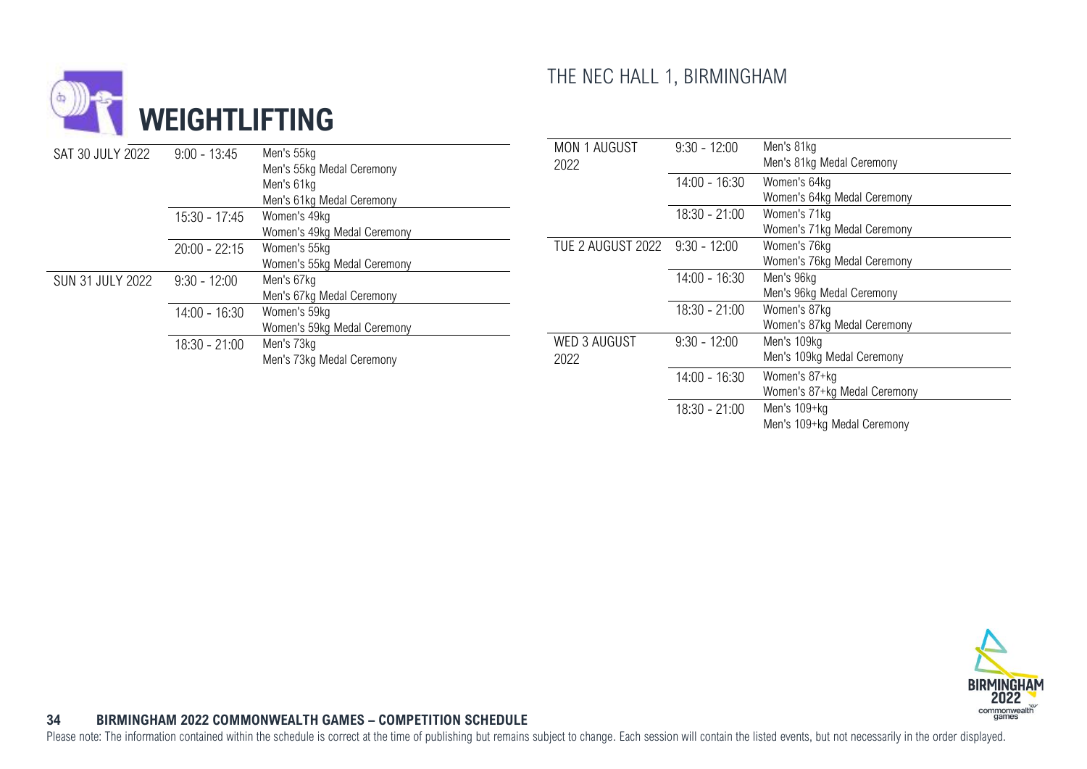

<span id="page-34-0"></span>

| SAT 30 JULY 2022        | $9:00 - 13:45$  | Men's 55kg<br>Men's 55kg Medal Ceremony<br>Men's 61kg<br>Men's 61kg Medal Ceremony<br>Women's 49kg<br>Women's 49kg Medal Ceremony | MON 1 AUGUST<br>2022        | $9:30 - 12:00$  | Men's 81kg<br>Men's 81kg Medal Ceremony       |
|-------------------------|-----------------|-----------------------------------------------------------------------------------------------------------------------------------|-----------------------------|-----------------|-----------------------------------------------|
|                         |                 |                                                                                                                                   |                             | $14:00 - 16:30$ | Women's 64kg<br>Women's 64kg Medal Ceremony   |
|                         | $15:30 - 17:45$ |                                                                                                                                   |                             | $18:30 - 21:00$ | Women's 71kg<br>Women's 71kg Medal Ceremony   |
|                         | $20:00 - 22:15$ | Women's 55kg<br>Women's 55kg Medal Ceremony                                                                                       | TUE 2 AUGUST 2022           | $9:30 - 12:00$  | Women's 76kg<br>Women's 76kg Medal Ceremony   |
| <b>SUN 31 JULY 2022</b> | $9:30 - 12:00$  | Men's 67kg<br>Men's 67kg Medal Ceremony                                                                                           |                             | $14:00 - 16:30$ | Men's 96kg<br>Men's 96kg Medal Ceremony       |
|                         | $14:00 - 16:30$ | Women's 59kg<br>Women's 59kg Medal Ceremony                                                                                       |                             | $18:30 - 21:00$ | Women's 87kg<br>Women's 87kg Medal Ceremony   |
|                         | $18:30 - 21:00$ | Men's 73kg<br>Men's 73kg Medal Ceremony                                                                                           | <b>WED 3 AUGUST</b><br>2022 | $9:30 - 12:00$  | Men's 109kg<br>Men's 109kg Medal Ceremony     |
|                         |                 |                                                                                                                                   |                             | $14:00 - 16:30$ | Women's 87+kg<br>Women's 87+kg Medal Ceremony |
|                         |                 |                                                                                                                                   |                             | $18:30 - 21:00$ | Men's 109+kg<br>Men's 109+kg Medal Ceremony   |

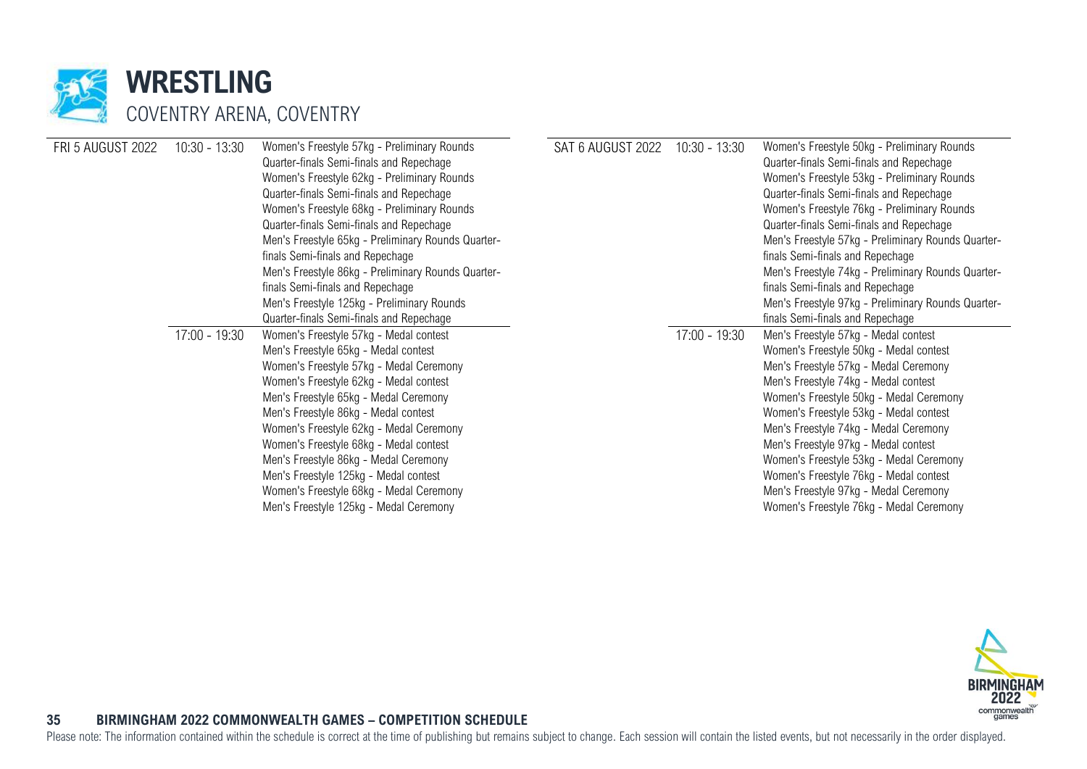

| <b>FRI 5 AUGUST 2022</b> | $10:30 - 13:30$ | Women's Freestyle 57kg - Preliminary Rounds<br>Quarter-finals Semi-finals and Repechage<br>Women's Freestyle 62kg - Preliminary Rounds<br>Quarter-finals Semi-finals and Repechage<br>Women's Freestyle 68kg - Preliminary Rounds<br>Quarter-finals Semi-finals and Repechage<br>Men's Freestyle 65kg - Preliminary Rounds Quarter- | SAT 6 AUGUST 2022 | $10:30 - 13:30$ | Women's Freestyle 50kg - Preliminary Rounds<br>Quarter-finals Semi-finals and Repechage<br>Women's Freestyle 53kg - Preliminary Rounds<br>Quarter-finals Semi-finals and Repechage<br>Women's Freestyle 76kg - Preliminary Rounds<br>Quarter-finals Semi-finals and Repechage<br>Men's Freestyle 57kg - Preliminary Rounds Quarter- |
|--------------------------|-----------------|-------------------------------------------------------------------------------------------------------------------------------------------------------------------------------------------------------------------------------------------------------------------------------------------------------------------------------------|-------------------|-----------------|-------------------------------------------------------------------------------------------------------------------------------------------------------------------------------------------------------------------------------------------------------------------------------------------------------------------------------------|
|                          |                 | finals Semi-finals and Repechage                                                                                                                                                                                                                                                                                                    |                   |                 | finals Semi-finals and Repechage                                                                                                                                                                                                                                                                                                    |
|                          |                 | Men's Freestyle 86kg - Preliminary Rounds Quarter-                                                                                                                                                                                                                                                                                  |                   |                 | Men's Freestyle 74kg - Preliminary Rounds Quarter-                                                                                                                                                                                                                                                                                  |
|                          |                 | finals Semi-finals and Repechage                                                                                                                                                                                                                                                                                                    |                   |                 | finals Semi-finals and Repechage                                                                                                                                                                                                                                                                                                    |
|                          |                 | Men's Freestyle 125kg - Preliminary Rounds                                                                                                                                                                                                                                                                                          |                   |                 | Men's Freestyle 97kg - Preliminary Rounds Quarter-                                                                                                                                                                                                                                                                                  |
|                          |                 | Quarter-finals Semi-finals and Repechage                                                                                                                                                                                                                                                                                            |                   |                 | finals Semi-finals and Repechage                                                                                                                                                                                                                                                                                                    |
|                          | $17:00 - 19:30$ | Women's Freestyle 57kg - Medal contest                                                                                                                                                                                                                                                                                              |                   | $17:00 - 19:30$ | Men's Freestyle 57kg - Medal contest                                                                                                                                                                                                                                                                                                |
|                          |                 | Men's Freestyle 65kg - Medal contest                                                                                                                                                                                                                                                                                                |                   |                 | Women's Freestyle 50kg - Medal contest                                                                                                                                                                                                                                                                                              |
|                          |                 | Women's Freestyle 57kg - Medal Ceremony                                                                                                                                                                                                                                                                                             |                   |                 | Men's Freestyle 57kg - Medal Ceremony                                                                                                                                                                                                                                                                                               |
|                          |                 | Women's Freestyle 62kg - Medal contest                                                                                                                                                                                                                                                                                              |                   |                 | Men's Freestyle 74kg - Medal contest                                                                                                                                                                                                                                                                                                |
|                          |                 | Men's Freestyle 65kg - Medal Ceremony                                                                                                                                                                                                                                                                                               |                   |                 | Women's Freestyle 50kg - Medal Ceremony                                                                                                                                                                                                                                                                                             |
|                          |                 | Men's Freestyle 86kg - Medal contest                                                                                                                                                                                                                                                                                                |                   |                 | Women's Freestyle 53kg - Medal contest                                                                                                                                                                                                                                                                                              |
|                          |                 | Women's Freestyle 62kg - Medal Ceremony                                                                                                                                                                                                                                                                                             |                   |                 | Men's Freestyle 74kg - Medal Ceremony                                                                                                                                                                                                                                                                                               |
|                          |                 | Women's Freestyle 68kg - Medal contest                                                                                                                                                                                                                                                                                              |                   |                 | Men's Freestyle 97kg - Medal contest                                                                                                                                                                                                                                                                                                |
|                          |                 | Men's Freestyle 86kg - Medal Ceremony                                                                                                                                                                                                                                                                                               |                   |                 | Women's Freestyle 53kg - Medal Ceremony                                                                                                                                                                                                                                                                                             |
|                          |                 | Men's Freestyle 125kg - Medal contest                                                                                                                                                                                                                                                                                               |                   |                 | Women's Freestyle 76kg - Medal contest                                                                                                                                                                                                                                                                                              |
|                          |                 | Women's Freestyle 68kg - Medal Ceremony                                                                                                                                                                                                                                                                                             |                   |                 | Men's Freestyle 97kg - Medal Ceremony                                                                                                                                                                                                                                                                                               |
|                          |                 | Men's Freestyle 125kg - Medal Ceremony                                                                                                                                                                                                                                                                                              |                   |                 | Women's Freestyle 76kg - Medal Ceremony                                                                                                                                                                                                                                                                                             |
|                          |                 |                                                                                                                                                                                                                                                                                                                                     |                   |                 |                                                                                                                                                                                                                                                                                                                                     |